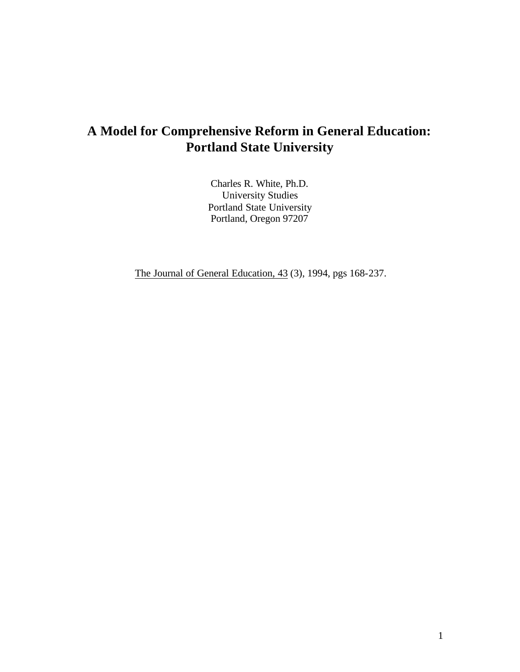# **A Model for Comprehensive Reform in General Education: Portland State University**

Charles R. White, Ph.D. University Studies Portland State University Portland, Oregon 97207

The Journal of General Education, 43 (3), 1994, pgs 168-237.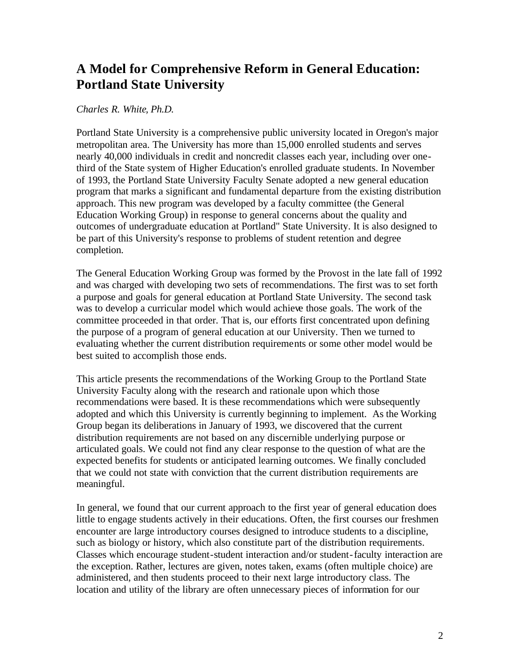# **A Model for Comprehensive Reform in General Education: Portland State University**

# *Charles R. White, Ph.D.*

Portland State University is a comprehensive public university located in Oregon's major metropolitan area. The University has more than 15,000 enrolled students and serves nearly 40,000 individuals in credit and noncredit classes each year, including over onethird of the State system of Higher Education's enrolled graduate students. In November of 1993, the Portland State University Faculty Senate adopted a new general education program that marks a significant and fundamental departure from the existing distribution approach. This new program was developed by a faculty committee (the General Education Working Group) in response to general concerns about the quality and outcomes of undergraduate education at Portland" State University. It is also designed to be part of this University's response to problems of student retention and degree completion.

The General Education Working Group was formed by the Provost in the late fall of 1992 and was charged with developing two sets of recommendations. The first was to set forth a purpose and goals for general education at Portland State University. The second task was to develop a curricular model which would achieve those goals. The work of the committee proceeded in that order. That is, our efforts first concentrated upon defining the purpose of a program of general education at our University. Then we turned to evaluating whether the current distribution requirements or some other model would be best suited to accomplish those ends.

 adopted and which this University is currently beginning to implement. As the Working This article presents the recommendations of the Working Group to the Portland State University Faculty along with the research and rationale upon which those recommendations were based. It is these recommendations which were subsequently Group began its deliberations in January of 1993, we discovered that the current distribution requirements are not based on any discernible underlying purpose or articulated goals. We could not find any clear response to the question of what are the expected benefits for students or anticipated learning outcomes. We finally concluded that we could not state with conviction that the current distribution requirements are meaningful.

In general, we found that our current approach to the first year of general education does little to engage students actively in their educations. Often, the first courses our freshmen encounter are large introductory courses designed to introduce students to a discipline, such as biology or history, which also constitute part of the distribution requirements. Classes which encourage student-student interaction and/or student-faculty interaction are the exception. Rather, lectures are given, notes taken, exams (often multiple choice) are administered, and then students proceed to their next large introductory class. The location and utility of the library are often unnecessary pieces of information for our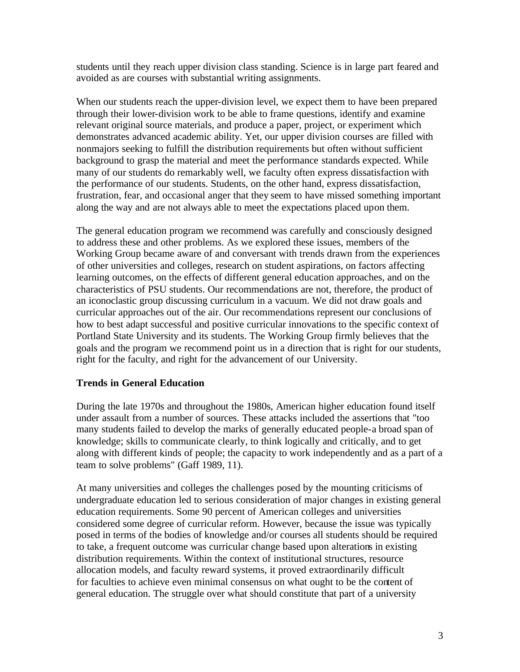students until they reach upper division class standing. Science is in large part feared and avoided as are courses with substantial writing assignments.

When our students reach the upper-division level, we expect them to have been prepared through their lower-division work to be able to frame questions, identify and examine relevant original source materials, and produce a paper, project, or experiment which demonstrates advanced academic ability. Yet, our upper division courses are filled with nonmajors seeking to fulfill the distribution requirements but often without sufficient background to grasp the material and meet the performance standards expected. While many of our students do remarkably well, we faculty often express dissatisfaction with the performance of our students. Students, on the other hand, express dissatisfaction, frustration, fear, and occasional anger that they seem to have missed something important along the way and are not always able to meet the expectations placed upon them.

The general education program we recommend was carefully and consciously designed to address these and other problems. As we explored these issues, members of the Working Group became aware of and conversant with trends drawn from the experiences of other universities and colleges, research on student aspirations, on factors affecting learning outcomes, on the effects of different general education approaches, and on the characteristics of PSU students. Our recommendations are not, therefore, the product of an iconoclastic group discussing curriculum in a vacuum. We did not draw goals and curricular approaches out of the air. Our recommendations represent our conclusions of how to best adapt successful and positive curricular innovations to the specific context of Portland State University and its students. The Working Group firmly believes that the goals and the program we recommend point us in a direction that is right for our students, right for the faculty, and right for the advancement of our University.

# **Trends in General Education**

During the late 1970s and throughout the 1980s, American higher education found itself under assault from a number of sources. These attacks included the assertions that "too many students failed to develop the marks of generally educated people-a broad span of knowledge; skills to communicate clearly, to think logically and critically, and to get along with different kinds of people; the capacity to work independently and as a part of a team to solve problems" (Gaff 1989, 11).

At many universities and colleges the challenges posed by the mounting criticisms of undergraduate education led to serious consideration of major changes in existing general education requirements. Some 90 percent of American colleges and universities considered some degree of curricular reform. However, because the issue was typically posed in terms of the bodies of knowledge and/or courses all students should be required to take, a frequent outcome was curricular change based upon alterations in existing distribution requirements. Within the context of institutional structures, resource allocation models, and faculty reward systems, it proved extraordinarily difficult for faculties to achieve even minimal consensus on what ought to be the content of general education. The struggle over what should constitute that part of a university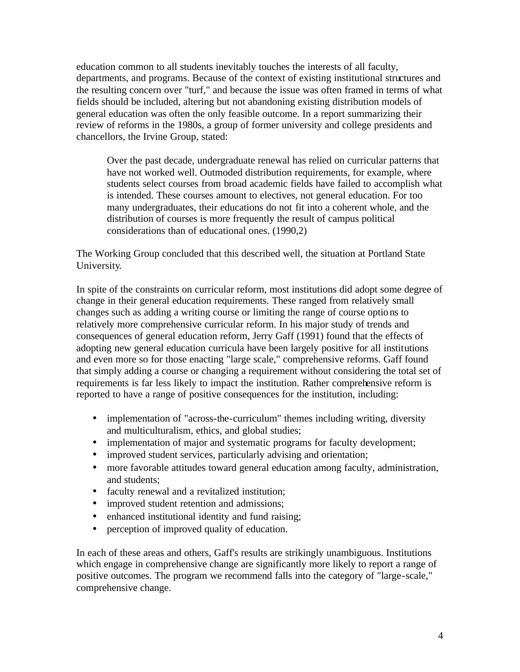education common to all students inevitably touches the interests of all faculty, departments, and programs. Because of the context of existing institutional structures and the resulting concern over "turf," and because the issue was often framed in terms of what fields should be included, altering but not abandoning existing distribution models of general education was often the only feasible outcome. In a report summarizing their review of reforms in the 1980s, a group of former university and college presidents and chancellors, the Irvine Group, stated:

Over the past decade, undergraduate renewal has relied on curricular patterns that have not worked well. Outmoded distribution requirements, for example, where students select courses from broad academic fields have failed to accomplish what is intended. These courses amount to electives, not general education. For too many undergraduates, their educations do not fit into a coherent whole, and the distribution of courses is more frequently the result of campus political considerations than of educational ones. (1990,2)

The Working Group concluded that this described well, the situation at Portland State University.

In spite of the constraints on curricular reform, most institutions did adopt some degree of change in their general education requirements. These ranged from relatively small changes such as adding a writing course or limiting the range of course options to relatively more comprehensive curricular reform. In his major study of trends and consequences of general education reform, Jerry Gaff (1991) found that the effects of adopting new general education curricula have been largely positive for all institutions and even more so for those enacting "large scale," comprehensive reforms. Gaff found that simply adding a course or changing a requirement without considering the total set of requirements is far less likely to impact the institution. Rather comprehensive reform is reported to have a range of positive consequences for the institution, including:

- implementation of "across-the-curriculum" themes including writing, diversity and multiculturalism, ethics, and global studies;
- implementation of major and systematic programs for faculty development;
- improved student services, particularly advising and orientation;
- · more favorable attitudes toward general education among faculty, administration, and students;
- faculty renewal and a revitalized institution;
- improved student retention and admissions;
- enhanced institutional identity and fund raising;
- perception of improved quality of education.

In each of these areas and others, Gaff's results are strikingly unambiguous. Institutions which engage in comprehensive change are significantly more likely to report a range of positive outcomes. The program we recommend falls into the category of "large-scale," comprehensive change.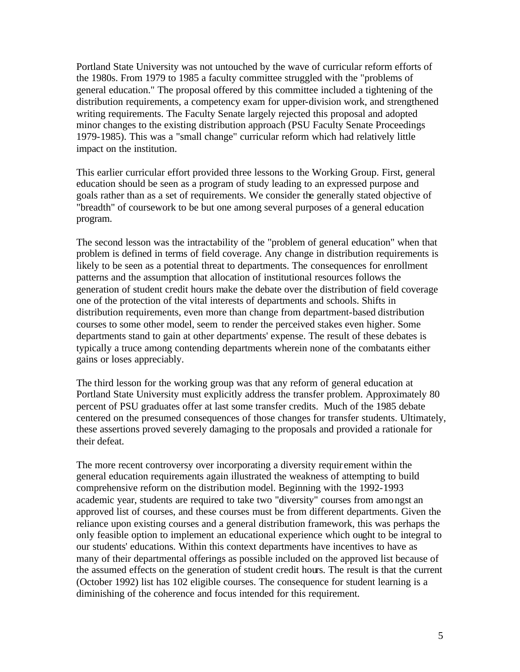Portland State University was not untouched by the wave of curricular reform efforts of the 1980s. From 1979 to 1985 a faculty committee struggled with the "problems of general education." The proposal offered by this committee included a tightening of the distribution requirements, a competency exam for upper-division work, and strengthened writing requirements. The Faculty Senate largely rejected this proposal and adopted minor changes to the existing distribution approach (PSU Faculty Senate Proceedings 1979-1985). This was a "small change" curricular reform which had relatively little impact on the institution.

This earlier curricular effort provided three lessons to the Working Group. First, general education should be seen as a program of study leading to an expressed purpose and goals rather than as a set of requirements. We consider the generally stated objective of "breadth" of coursework to be but one among several purposes of a general education program.

The second lesson was the intractability of the "problem of general education" when that problem is defined in terms of field coverage. Any change in distribution requirements is likely to be seen as a potential threat to departments. The consequences for enrollment patterns and the assumption that allocation of institutional resources follows the generation of student credit hours make the debate over the distribution of field coverage one of the protection of the vital interests of departments and schools. Shifts in distribution requirements, even more than change from department-based distribution courses to some other model, seem to render the perceived stakes even higher. Some departments stand to gain at other departments' expense. The result of these debates is typically a truce among contending departments wherein none of the combatants either gains or loses appreciably.

The third lesson for the working group was that any reform of general education at Portland State University must explicitly address the transfer problem. Approximately 80 percent of PSU graduates offer at last some transfer credits. Much of the 1985 debate centered on the presumed consequences of those changes for transfer students. Ultimately, these assertions proved severely damaging to the proposals and provided a rationale for their defeat.

The more recent controversy over incorporating a diversity requir ement within the general education requirements again illustrated the weakness of attempting to build comprehensive reform on the distribution model. Beginning with the 1992-1993 academic year, students are required to take two "diversity" courses from amo ngst an approved list of courses, and these courses must be from different departments. Given the reliance upon existing courses and a general distribution framework, this was perhaps the only feasible option to implement an educational experience which ought to be integral to our students' educations. Within this context departments have incentives to have as many of their departmental offerings as possible included on the approved list because of the assumed effects on the generation of student credit hours. The result is that the current (October 1992) list has 102 eligible courses. The consequence for student learning is a diminishing of the coherence and focus intended for this requirement.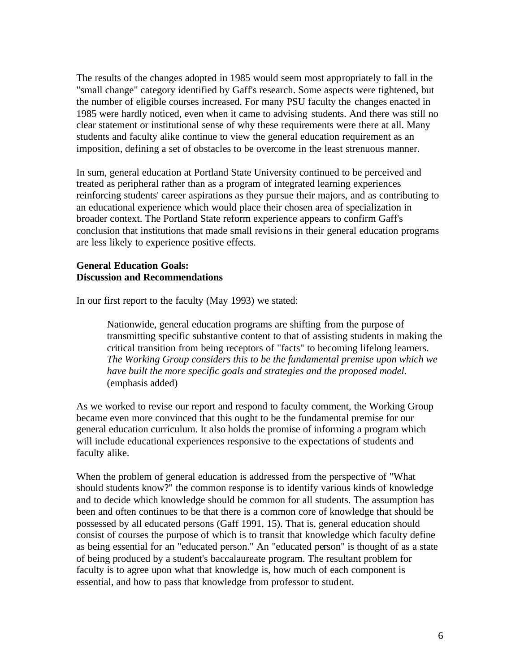The results of the changes adopted in 1985 would seem most appropriately to fall in the "small change" category identified by Gaff's research. Some aspects were tightened, but the number of eligible courses increased. For many PSU faculty the changes enacted in 1985 were hardly noticed, even when it came to advising students. And there was still no clear statement or institutional sense of why these requirements were there at all. Many students and faculty alike continue to view the general education requirement as an imposition, defining a set of obstacles to be overcome in the least strenuous manner.

In sum, general education at Portland State University continued to be perceived and treated as peripheral rather than as a program of integrated learning experiences reinforcing students' career aspirations as they pursue their majors, and as contributing to an educational experience which would place their chosen area of specialization in broader context. The Portland State reform experience appears to confirm Gaff's conclusion that institutions that made small revisions in their general education programs are less likely to experience positive effects.

## **General Education Goals: Discussion and Recommendations**

In our first report to the faculty (May 1993) we stated:

Nationwide, general education programs are shifting from the purpose of transmitting specific substantive content to that of assisting students in making the critical transition from being receptors of "facts" to becoming lifelong learners. *The Working Group considers this to be the fundamental premise upon which we have built the more specific goals and strategies and the proposed model.*  (emphasis added)

As we worked to revise our report and respond to faculty comment, the Working Group became even more convinced that this ought to be the fundamental premise for our general education curriculum. It also holds the promise of informing a program which will include educational experiences responsive to the expectations of students and faculty alike.

When the problem of general education is addressed from the perspective of "What should students know?" the common response is to identify various kinds of knowledge and to decide which knowledge should be common for all students. The assumption has been and often continues to be that there is a common core of knowledge that should be possessed by all educated persons (Gaff 1991, 15). That is, general education should consist of courses the purpose of which is to transit that knowledge which faculty define as being essential for an "educated person." An "educated person" is thought of as a state of being produced by a student's baccalaureate program. The resultant problem for faculty is to agree upon what that knowledge is, how much of each component is essential, and how to pass that knowledge from professor to student.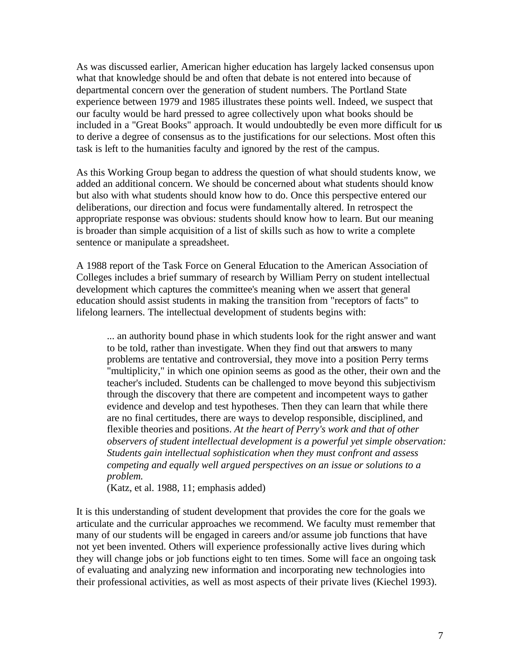As was discussed earlier, American higher education has largely lacked consensus upon what that knowledge should be and often that debate is not entered into because of departmental concern over the generation of student numbers. The Portland State experience between 1979 and 1985 illustrates these points well. Indeed, we suspect that our faculty would be hard pressed to agree collectively upon what books should be included in a "Great Books" approach. It would undoubtedly be even more difficult for us to derive a degree of consensus as to the justifications for our selections. Most often this task is left to the humanities faculty and ignored by the rest of the campus.

As this Working Group began to address the question of what should students know, we added an additional concern. We should be concerned about what students should know but also with what students should know how to do. Once this perspective entered our deliberations, our direction and focus were fundamentally altered. In retrospect the appropriate response was obvious: students should know how to learn. But our meaning is broader than simple acquisition of a list of skills such as how to write a complete sentence or manipulate a spreadsheet.

A 1988 report of the Task Force on General Education to the American Association of Colleges includes a brief summary of research by William Perry on student intellectual development which captures the committee's meaning when we assert that general education should assist students in making the transition from "receptors of facts" to lifelong learners. The intellectual development of students begins with:

... an authority bound phase in which students look for the right answer and want to be told, rather than investigate. When they find out that answers to many problems are tentative and controversial, they move into a position Perry terms "multiplicity," in which one opinion seems as good as the other, their own and the teacher's included. Students can be challenged to move beyond this subjectivism through the discovery that there are competent and incompetent ways to gather evidence and develop and test hypotheses. Then they can learn that while there are no final certitudes, there are ways to develop responsible, disciplined, and flexible theories and positions. *At the heart of Perry's work and that of other observers of student intellectual development is a powerful yet simple observation: Students gain intellectual sophistication when they must confront and assess competing and equally well argued perspectives on an issue or solutions to a problem.* 

(Katz, et al. 1988, 11; emphasis added)

It is this understanding of student development that provides the core for the goals we articulate and the curricular approaches we recommend. We faculty must remember that many of our students will be engaged in careers and/or assume job functions that have not yet been invented. Others will experience professionally active lives during which they will change jobs or job functions eight to ten times. Some will face an ongoing task of evaluating and analyzing new information and incorporating new technologies into their professional activities, as well as most aspects of their private lives (Kiechel 1993).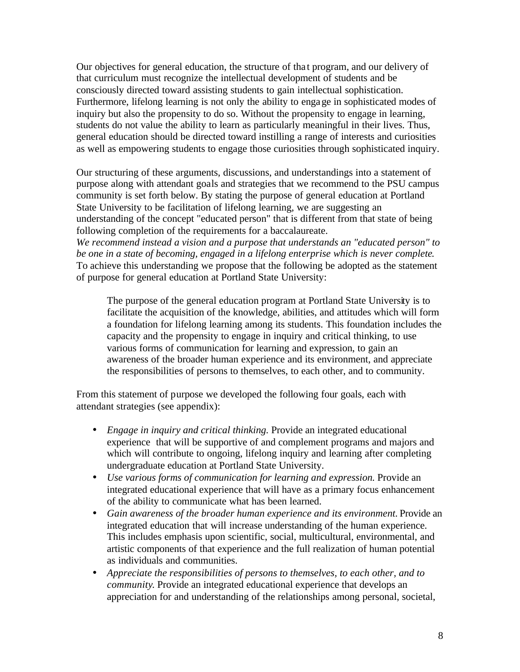Our objectives for general education, the structure of tha t program, and our delivery of that curriculum must recognize the intellectual development of students and be consciously directed toward assisting students to gain intellectual sophistication. Furthermore, lifelong learning is not only the ability to engage in sophisticated modes of inquiry but also the propensity to do so. Without the propensity to engage in learning, students do not value the ability to learn as particularly meaningful in their lives. Thus, general education should be directed toward instilling a range of interests and curiosities as well as empowering students to engage those curiosities through sophisticated inquiry.

Our structuring of these arguments, discussions, and understandings into a statement of purpose along with attendant goals and strategies that we recommend to the PSU campus community is set forth below. By stating the purpose of general education at Portland State University to be facilitation of lifelong learning, we are suggesting an understanding of the concept "educated person" that is different from that state of being following completion of the requirements for a baccalaureate.

*We recommend instead a vision and a purpose that understands an "educated person" to be one in a state of becoming, engaged in a lifelong enterprise which is never complete*. To achieve this understanding we propose that the following be adopted as the statement of purpose for general education at Portland State University:

The purpose of the general education program at Portland State University is to facilitate the acquisition of the knowledge, abilities, and attitudes which will form a foundation for lifelong learning among its students. This foundation includes the capacity and the propensity to engage in inquiry and critical thinking, to use various forms of communication for learning and expression, to gain an awareness of the broader human experience and its environment, and appreciate the responsibilities of persons to themselves, to each other, and to community.

From this statement of purpose we developed the following four goals, each with attendant strategies (see appendix):

- · *Engage in inquiry and critical thinking.* Provide an integrated educational experience that will be supportive of and complement programs and majors and which will contribute to ongoing, lifelong inquiry and learning after completing undergraduate education at Portland State University.
- · *Use various forms of communication for learning and expression.* Provide an integrated educational experience that will have as a primary focus enhancement of the ability to communicate what has been learned.
- · *Gain awareness of the broader human experience and its environment.* Provide an integrated education that will increase understanding of the human experience. This includes emphasis upon scientific, social, multicultural, environmental, and artistic components of that experience and the full realization of human potential as individuals and communities.
- · *Appreciate the responsibilities of persons to themselves, to each other, and to community*. Provide an integrated educational experience that develops an appreciation for and understanding of the relationships among personal, societal,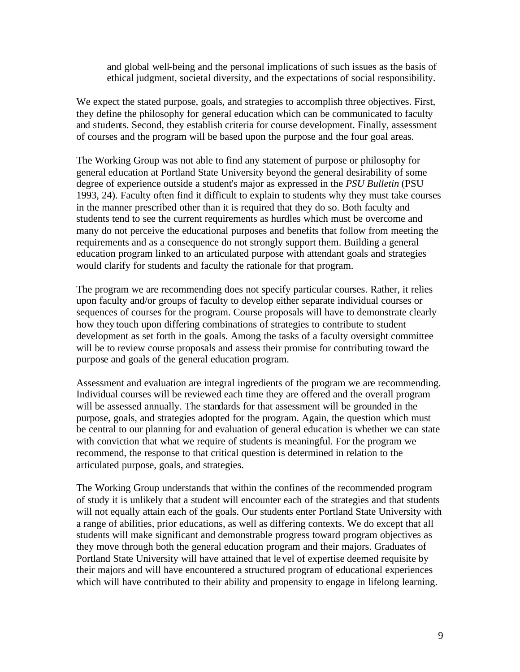and global well-being and the personal implications of such issues as the basis of ethical judgment, societal diversity, and the expectations of social responsibility.

We expect the stated purpose, goals, and strategies to accomplish three objectives. First, they define the philosophy for general education which can be communicated to faculty and students. Second, they establish criteria for course development. Finally, assessment of courses and the program will be based upon the purpose and the four goal areas.

The Working Group was not able to find any statement of purpose or philosophy for general education at Portland State University beyond the general desirability of some degree of experience outside a student's major as expressed in the *PSU Bulletin* (PSU 1993, 24). Faculty often find it difficult to explain to students why they must take courses in the manner prescribed other than it is required that they do so. Both faculty and students tend to see the current requirements as hurdles which must be overcome and many do not perceive the educational purposes and benefits that follow from meeting the requirements and as a consequence do not strongly support them. Building a general education program linked to an articulated purpose with attendant goals and strategies would clarify for students and faculty the rationale for that program.

The program we are recommending does not specify particular courses. Rather, it relies upon faculty and/or groups of faculty to develop either separate individual courses or sequences of courses for the program. Course proposals will have to demonstrate clearly how they touch upon differing combinations of strategies to contribute to student development as set forth in the goals. Among the tasks of a faculty oversight committee will be to review course proposals and assess their promise for contributing toward the purpose and goals of the general education program.

Assessment and evaluation are integral ingredients of the program we are recommending. Individual courses will be reviewed each time they are offered and the overall program will be assessed annually. The standards for that assessment will be grounded in the purpose, goals, and strategies adopted for the program. Again, the question which must be central to our planning for and evaluation of general education is whether we can state with conviction that what we require of students is meaningful. For the program we recommend, the response to that critical question is determined in relation to the articulated purpose, goals, and strategies.

The Working Group understands that within the confines of the recommended program of study it is unlikely that a student will encounter each of the strategies and that students will not equally attain each of the goals. Our students enter Portland State University with a range of abilities, prior educations, as well as differing contexts. We do except that all students will make significant and demonstrable progress toward program objectives as they move through both the general education program and their majors. Graduates of Portland State University will have attained that le vel of expertise deemed requisite by their majors and will have encountered a structured program of educational experiences which will have contributed to their ability and propensity to engage in lifelong learning.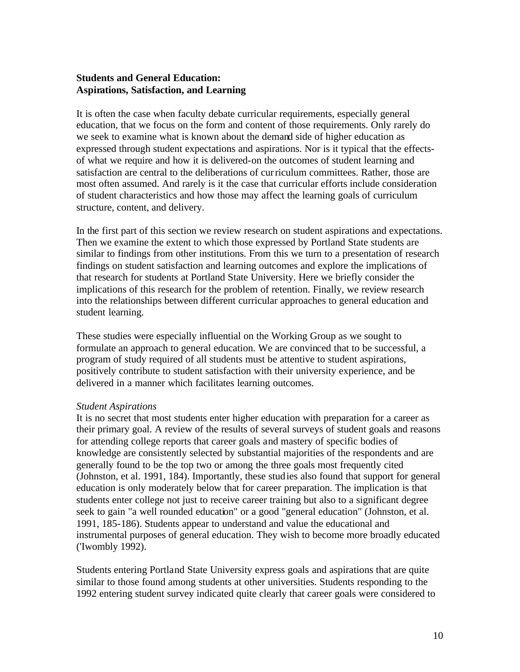# **Students and General Education: Aspirations, Satisfaction, and Learning**

It is often the case when faculty debate curricular requirements, especially general education, that we focus on the form and content of those requirements. Only rarely do we seek to examine what is known about the demand side of higher education as expressed through student expectations and aspirations. Nor is it typical that the effectsof what we require and how it is delivered-on the outcomes of student learning and satisfaction are central to the deliberations of cur riculum committees. Rather, those are most often assumed. And rarely is it the case that curricular efforts include consideration of student characteristics and how those may affect the learning goals of curriculum structure, content, and delivery.

In the first part of this section we review research on student aspirations and expectations. Then we examine the extent to which those expressed by Portland State students are similar to findings from other institutions. From this we turn to a presentation of research findings on student satisfaction and learning outcomes and explore the implications of that research for students at Portland State University. Here we briefly consider the implications of this research for the problem of retention. Finally, we review research into the relationships between different curricular approaches to general education and student learning.

These studies were especially influential on the Working Group as we sought to formulate an approach to general education. We are convinced that to be successful, a program of study required of all students must be attentive to student aspirations, positively contribute to student satisfaction with their university experience, and be delivered in a manner which facilitates learning outcomes.

## *Student Aspirations*

It is no secret that most students enter higher education with preparation for a career as their primary goal. A review of the results of several surveys of student goals and reasons for attending college reports that career goals and mastery of specific bodies of knowledge are consistently selected by substantial majorities of the respondents and are generally found to be the top two or among the three goals most frequently cited (Johnston, et al. 1991, 184). Importantly, these studies also found that support for general education is only moderately below that for career preparation. The implication is that students enter college not just to receive career training but also to a significant degree seek to gain "a well rounded education" or a good "general education" (Johnston, et al. 1991, 185-186). Students appear to understand and value the educational and instrumental purposes of general education. They wish to become more broadly educated ('Iwombly 1992).

Students entering Portland State University express goals and aspirations that are quite similar to those found among students at other universities. Students responding to the 1992 entering student survey indicated quite clearly that career goals were considered to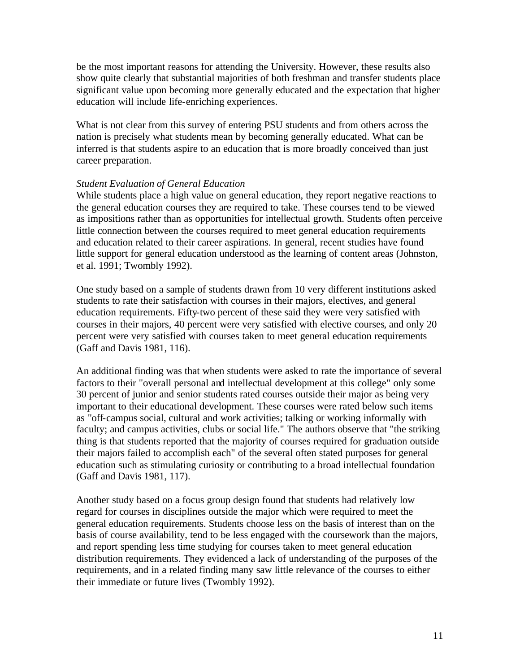be the most important reasons for attending the University. However, these results also show quite clearly that substantial majorities of both freshman and transfer students place significant value upon becoming more generally educated and the expectation that higher education will include life-enriching experiences.

What is not clear from this survey of entering PSU students and from others across the nation is precisely what students mean by becoming generally educated. What can be inferred is that students aspire to an education that is more broadly conceived than just career preparation.

#### *Student Evaluation of General Education*

While students place a high value on general education, they report negative reactions to the general education courses they are required to take. These courses tend to be viewed as impositions rather than as opportunities for intellectual growth. Students often perceive little connection between the courses required to meet general education requirements and education related to their career aspirations. In general, recent studies have found little support for general education understood as the learning of content areas (Johnston, et al. 1991; Twombly 1992).

One study based on a sample of students drawn from 10 very different institutions asked students to rate their satisfaction with courses in their majors, electives, and general education requirements. Fifty-two percent of these said they were very satisfied with courses in their majors, 40 percent were very satisfied with elective courses, and only 20 percent were very satisfied with courses taken to meet general education requirements (Gaff and Davis 1981, 116).

An additional finding was that when students were asked to rate the importance of several factors to their "overall personal and intellectual development at this college" only some 30 percent of junior and senior students rated courses outside their major as being very important to their educational development. These courses were rated below such items as "off-campus social, cultural and work activities; talking or working informally with faculty; and campus activities, clubs or social life." The authors observe that "the striking thing is that students reported that the majority of courses required for graduation outside their majors failed to accomplish each" of the several often stated purposes for general education such as stimulating curiosity or contributing to a broad intellectual foundation (Gaff and Davis 1981, 117).

Another study based on a focus group design found that students had relatively low regard for courses in disciplines outside the major which were required to meet the general education requirements. Students choose less on the basis of interest than on the basis of course availability, tend to be less engaged with the coursework than the majors, and report spending less time studying for courses taken to meet general education distribution requirements. They evidenced a lack of understanding of the purposes of the requirements, and in a related finding many saw little relevance of the courses to either their immediate or future lives (Twombly 1992).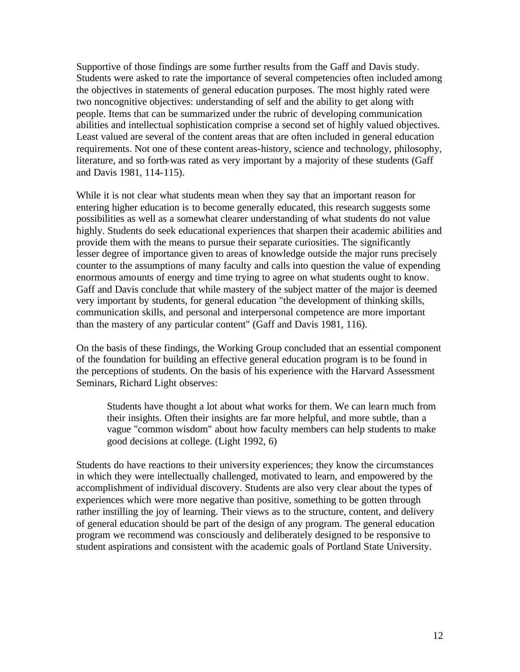Supportive of those findings are some further results from the Gaff and Davis study. Students were asked to rate the importance of several competencies often included among the objectives in statements of general education purposes. The most highly rated were two noncognitive objectives: understanding of self and the ability to get along with people. Items that can be summarized under the rubric of developing communication abilities and intellectual sophistication comprise a second set of highly valued objectives. Least valued are several of the content areas that are often included in general education requirements. Not one of these content areas-history, science and technology, philosophy, literature, and so forth-was rated as very important by a majority of these students (Gaff and Davis 1981, 114-115).

While it is not clear what students mean when they say that an important reason for entering higher education is to become generally educated, this research suggests some possibilities as well as a somewhat clearer understanding of what students do not value highly. Students do seek educational experiences that sharpen their academic abilities and provide them with the means to pursue their separate curiosities. The significantly lesser degree of importance given to areas of knowledge outside the major runs precisely counter to the assumptions of many faculty and calls into question the value of expending enormous amounts of energy and time trying to agree on what students ought to know. Gaff and Davis conclude that while mastery of the subject matter of the major is deemed very important by students, for general education "the development of thinking skills, communication skills, and personal and interpersonal competence are more important than the mastery of any particular content" (Gaff and Davis 1981, 116).

On the basis of these findings, the Working Group concluded that an essential component of the foundation for building an effective general education program is to be found in the perceptions of students. On the basis of his experience with the Harvard Assessment Seminars, Richard Light observes:

Students have thought a lot about what works for them. We can learn much from their insights. Often their insights are far more helpful, and more subtle, than a vague "common wisdom" about how faculty members can help students to make good decisions at college. (Light 1992, 6)

Students do have reactions to their university experiences; they know the circumstances in which they were intellectually challenged, motivated to learn, and empowered by the accomplishment of individual discovery. Students are also very clear about the types of experiences which were more negative than positive, something to be gotten through rather instilling the joy of learning. Their views as to the structure, content, and delivery of general education should be part of the design of any program. The general education program we recommend was consciously and deliberately designed to be responsive to student aspirations and consistent with the academic goals of Portland State University.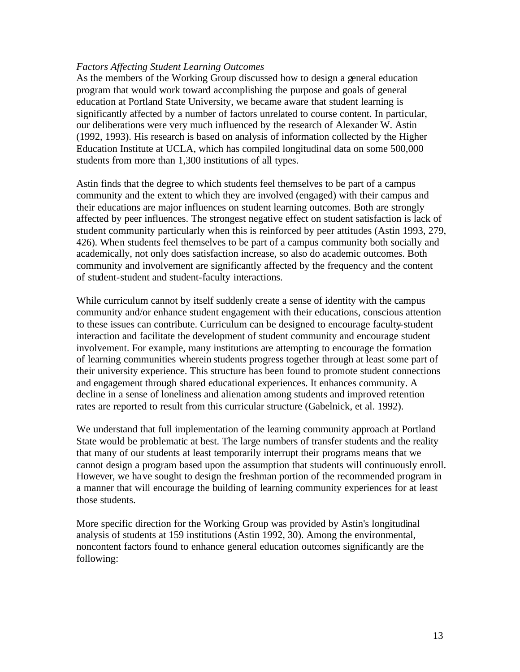## *Factors Affecting Student Learning Outcomes*

As the members of the Working Group discussed how to design a general education program that would work toward accomplishing the purpose and goals of general education at Portland State University, we became aware that student learning is significantly affected by a number of factors unrelated to course content. In particular, our deliberations were very much influenced by the research of Alexander W. Astin (1992, 1993). His research is based on analysis of information collected by the Higher Education Institute at UCLA, which has compiled longitudinal data on some 500,000 students from more than 1,300 institutions of all types.

Astin finds that the degree to which students feel themselves to be part of a campus community and the extent to which they are involved (engaged) with their campus and their educations are major influences on student learning outcomes. Both are strongly affected by peer influences. The strongest negative effect on student satisfaction is lack of student community particularly when this is reinforced by peer attitudes (Astin 1993, 279, 426). When students feel themselves to be part of a campus community both socially and academically, not only does satisfaction increase, so also do academic outcomes. Both community and involvement are significantly affected by the frequency and the content of student-student and student-faculty interactions.

While curriculum cannot by itself suddenly create a sense of identity with the campus community and/or enhance student engagement with their educations, conscious attention to these issues can contribute. Curriculum can be designed to encourage faculty-student interaction and facilitate the development of student community and encourage student involvement. For example, many institutions are attempting to encourage the formation of learning communities wherein students progress together through at least some part of their university experience. This structure has been found to promote student connections and engagement through shared educational experiences. It enhances community. A decline in a sense of loneliness and alienation among students and improved retention rates are reported to result from this curricular structure (Gabelnick, et al. 1992).

We understand that full implementation of the learning community approach at Portland State would be problematic at best. The large numbers of transfer students and the reality that many of our students at least temporarily interrupt their programs means that we cannot design a program based upon the assumption that students will continuously enroll. However, we have sought to design the freshman portion of the recommended program in a manner that will encourage the building of learning community experiences for at least those students.

More specific direction for the Working Group was provided by Astin's longitudinal analysis of students at 159 institutions (Astin 1992, 30). Among the environmental, noncontent factors found to enhance general education outcomes significantly are the following: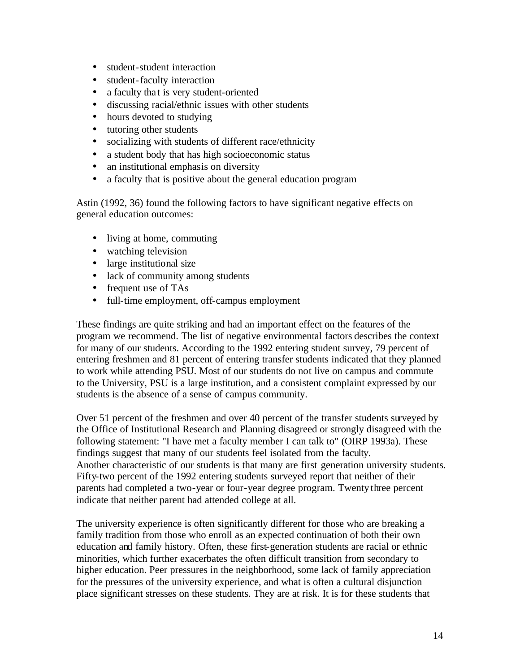- student-student interaction
- student-faculty interaction
- a faculty that is very student-oriented
- discussing racial/ethnic issues with other students
- hours devoted to studying
- tutoring other students
- socializing with students of different race/ethnicity
- a student body that has high socioeconomic status
- an institutional emphasis on diversity
- a faculty that is positive about the general education program

Astin (1992, 36) found the following factors to have significant negative effects on general education outcomes:

- living at home, commuting
- watching television
- large institutional size
- lack of community among students
- frequent use of TAs
- · full-time employment, off-campus employment

These findings are quite striking and had an important effect on the features of the program we recommend. The list of negative environmental factors describes the context for many of our students. According to the 1992 entering student survey, 79 percent of entering freshmen and 81 percent of entering transfer students indicated that they planned to work while attending PSU. Most of our students do not live on campus and commute to the University, PSU is a large institution, and a consistent complaint expressed by our students is the absence of a sense of campus community.

Over 51 percent of the freshmen and over 40 percent of the transfer students surveyed by the Office of Institutional Research and Planning disagreed or strongly disagreed with the following statement: "I have met a faculty member I can talk to" (OIRP 1993a). These findings suggest that many of our students feel isolated from the faculty. Another characteristic of our students is that many are first generation university students. Fifty-two percent of the 1992 entering students surveyed report that neither of their parents had completed a two-year or four-year degree program. Twenty three percent indicate that neither parent had attended college at all.

The university experience is often significantly different for those who are breaking a family tradition from those who enroll as an expected continuation of both their own education and family history. Often, these first-generation students are racial or ethnic minorities, which further exacerbates the often difficult transition from secondary to higher education. Peer pressures in the neighborhood, some lack of family appreciation for the pressures of the university experience, and what is often a cultural disjunction place significant stresses on these students. They are at risk. It is for these students that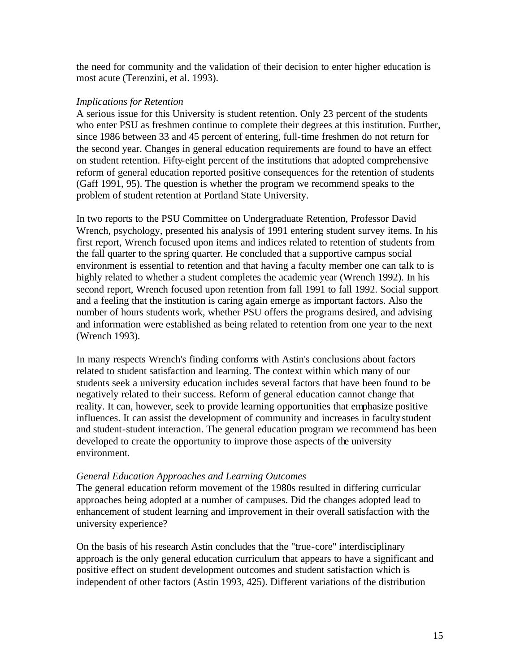the need for community and the validation of their decision to enter higher education is most acute (Terenzini, et al. 1993).

## *Implications for Retention*

A serious issue for this University is student retention. Only 23 percent of the students who enter PSU as freshmen continue to complete their degrees at this institution. Further, since 1986 between 33 and 45 percent of entering, full-time freshmen do not return for the second year. Changes in general education requirements are found to have an effect on student retention. Fifty-eight percent of the institutions that adopted comprehensive reform of general education reported positive consequences for the retention of students (Gaff 1991, 95). The question is whether the program we recommend speaks to the problem of student retention at Portland State University.

In two reports to the PSU Committee on Undergraduate Retention, Professor David Wrench, psychology, presented his analysis of 1991 entering student survey items. In his first report, Wrench focused upon items and indices related to retention of students from the fall quarter to the spring quarter. He concluded that a supportive campus social environment is essential to retention and that having a faculty member one can talk to is highly related to whether a student completes the academic year (Wrench 1992). In his second report, Wrench focused upon retention from fall 1991 to fall 1992. Social support and a feeling that the institution is caring again emerge as important factors. Also the number of hours students work, whether PSU offers the programs desired, and advising and information were established as being related to retention from one year to the next (Wrench 1993).

In many respects Wrench's finding conforms with Astin's conclusions about factors related to student satisfaction and learning. The context within which many of our students seek a university education includes several factors that have been found to be negatively related to their success. Reform of general education cannot change that reality. It can, however, seek to provide learning opportunities that emphasize positive influences. It can assist the development of community and increases in faculty student and student-student interaction. The general education program we recommend has been developed to create the opportunity to improve those aspects of the university environment.

## *General Education Approaches and Learning Outcomes*

The general education reform movement of the 1980s resulted in differing curricular approaches being adopted at a number of campuses. Did the changes adopted lead to enhancement of student learning and improvement in their overall satisfaction with the university experience?

On the basis of his research Astin concludes that the "true-core" interdisciplinary approach is the only general education curriculum that appears to have a significant and positive effect on student development outcomes and student satisfaction which is independent of other factors (Astin 1993, 425). Different variations of the distribution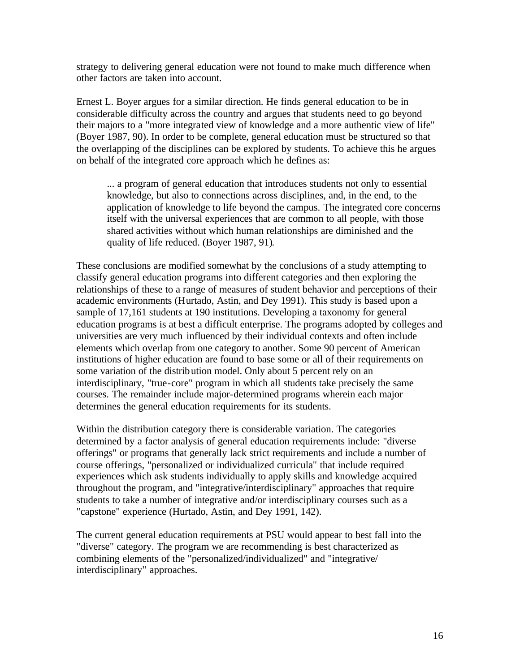strategy to delivering general education were not found to make much difference when other factors are taken into account.

Ernest L. Boyer argues for a similar direction. He finds general education to be in considerable difficulty across the country and argues that students need to go beyond their majors to a "more integrated view of knowledge and a more authentic view of life" (Boyer 1987, 90). In order to be complete, general education must be structured so that the overlapping of the disciplines can be explored by students. To achieve this he argues on behalf of the integrated core approach which he defines as:

... a program of general education that introduces students not only to essential knowledge, but also to connections across disciplines, and, in the end, to the application of knowledge to life beyond the campus. The integrated core concerns itself with the universal experiences that are common to all people, with those shared activities without which human relationships are diminished and the quality of life reduced. (Boyer 1987, 91).

These conclusions are modified somewhat by the conclusions of a study attempting to classify general education programs into different categories and then exploring the relationships of these to a range of measures of student behavior and perceptions of their academic environments (Hurtado, Astin, and Dey 1991). This study is based upon a sample of 17,161 students at 190 institutions. Developing a taxonomy for general education programs is at best a difficult enterprise. The programs adopted by colleges and universities are very much influenced by their individual contexts and often include elements which overlap from one category to another. Some 90 percent of American institutions of higher education are found to base some or all of their requirements on some variation of the distrib ution model. Only about 5 percent rely on an interdisciplinary, "true-core" program in which all students take precisely the same courses. The remainder include major-determined programs wherein each major determines the general education requirements for its students.

Within the distribution category there is considerable variation. The categories determined by a factor analysis of general education requirements include: "diverse offerings" or programs that generally lack strict requirements and include a number of course offerings, "personalized or individualized curricula" that include required experiences which ask students individually to apply skills and knowledge acquired throughout the program, and "integrative/interdisciplinary" approaches that require students to take a number of integrative and/or interdisciplinary courses such as a "capstone" experience (Hurtado, Astin, and Dey 1991, 142).

The current general education requirements at PSU would appear to best fall into the "diverse" category. The program we are recommending is best characterized as combining elements of the "personalized/individualized" and "integrative/ interdisciplinary" approaches.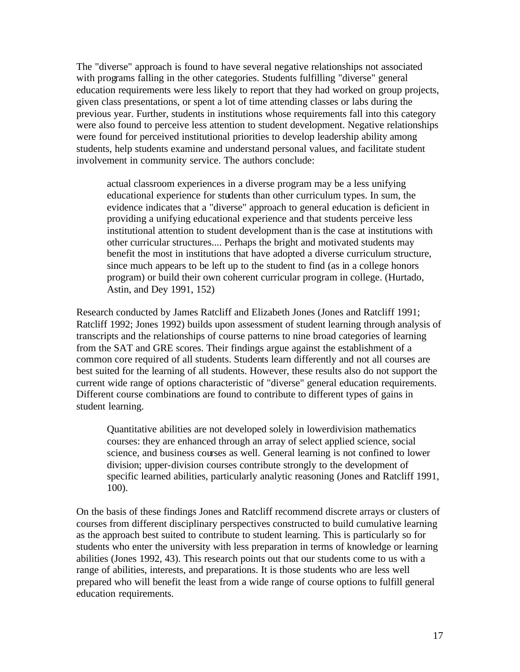The "diverse" approach is found to have several negative relationships not associated with programs falling in the other categories. Students fulfilling "diverse" general education requirements were less likely to report that they had worked on group projects, given class presentations, or spent a lot of time attending classes or labs during the previous year. Further, students in institutions whose requirements fall into this category were also found to perceive less attention to student development. Negative relationships were found for perceived institutional priorities to develop leadership ability among students, help students examine and understand personal values, and facilitate student involvement in community service. The authors conclude:

actual classroom experiences in a diverse program may be a less unifying educational experience for students than other curriculum types. In sum, the evidence indicates that a "diverse" approach to general education is deficient in providing a unifying educational experience and that students perceive less institutional attention to student development than is the case at institutions with other curricular structures.... Perhaps the bright and motivated students may benefit the most in institutions that have adopted a diverse curriculum structure, since much appears to be left up to the student to find (as in a college honors program) or build their own coherent curricular program in college. (Hurtado, Astin, and Dey 1991, 152)

Research conducted by James Ratcliff and Elizabeth Jones (Jones and Ratcliff 1991; Ratcliff 1992; Jones 1992) builds upon assessment of student learning through analysis of transcripts and the relationships of course patterns to nine broad categories of learning from the SAT and GRE scores. Their findings argue against the establishment of a common core required of all students. Students learn differently and not all courses are best suited for the learning of all students. However, these results also do not support the current wide range of options characteristic of "diverse" general education requirements. Different course combinations are found to contribute to different types of gains in student learning.

Quantitative abilities are not developed solely in lowerdivision mathematics courses: they are enhanced through an array of select applied science, social science, and business courses as well. General learning is not confined to lower division; upper-division courses contribute strongly to the development of specific learned abilities, particularly analytic reasoning (Jones and Ratcliff 1991, 100).

On the basis of these findings Jones and Ratcliff recommend discrete arrays or clusters of courses from different disciplinary perspectives constructed to build cumulative learning as the approach best suited to contribute to student learning. This is particularly so for students who enter the university with less preparation in terms of knowledge or learning abilities (Jones 1992, 43). This research points out that our students come to us with a range of abilities, interests, and preparations. It is those students who are less well prepared who will benefit the least from a wide range of course options to fulfill general education requirements.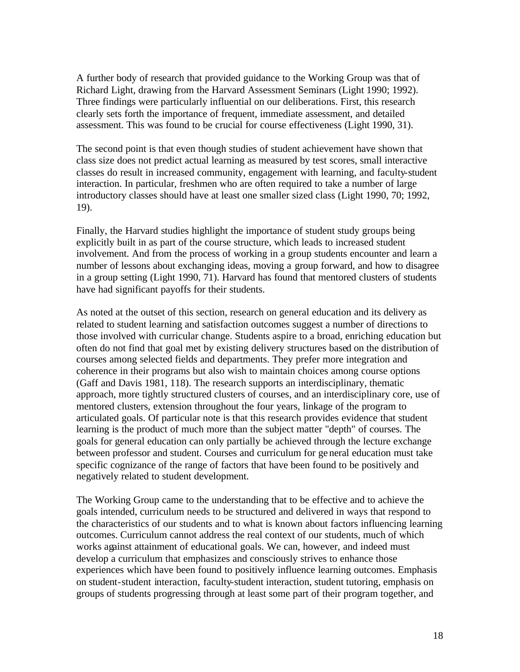A further body of research that provided guidance to the Working Group was that of Richard Light, drawing from the Harvard Assessment Seminars (Light 1990; 1992). Three findings were particularly influential on our deliberations. First, this research clearly sets forth the importance of frequent, immediate assessment, and detailed assessment. This was found to be crucial for course effectiveness (Light 1990, 31).

The second point is that even though studies of student achievement have shown that class size does not predict actual learning as measured by test scores, small interactive classes do result in increased community, engagement with learning, and faculty-student interaction. In particular, freshmen who are often required to take a number of large introductory classes should have at least one smaller sized class (Light 1990, 70; 1992, 19).

Finally, the Harvard studies highlight the importance of student study groups being explicitly built in as part of the course structure, which leads to increased student involvement. And from the process of working in a group students encounter and learn a number of lessons about exchanging ideas, moving a group forward, and how to disagree in a group setting (Light 1990, 71). Harvard has found that mentored clusters of students have had significant payoffs for their students.

As noted at the outset of this section, research on general education and its delivery as related to student learning and satisfaction outcomes suggest a number of directions to those involved with curricular change. Students aspire to a broad, enriching education but often do not find that goal met by existing delivery structures based on the distribution of courses among selected fields and departments. They prefer more integration and coherence in their programs but also wish to maintain choices among course options (Gaff and Davis 1981, 118). The research supports an interdisciplinary, thematic approach, more tightly structured clusters of courses, and an interdisciplinary core, use of mentored clusters, extension throughout the four years, linkage of the program to articulated goals. Of particular note is that this research provides evidence that student learning is the product of much more than the subject matter "depth" of courses. The goals for general education can only partially be achieved through the lecture exchange between professor and student. Courses and curriculum for general education must take specific cognizance of the range of factors that have been found to be positively and negatively related to student development.

The Working Group came to the understanding that to be effective and to achieve the goals intended, curriculum needs to be structured and delivered in ways that respond to the characteristics of our students and to what is known about factors influencing learning outcomes. Curriculum cannot address the real context of our students, much of which works against attainment of educational goals. We can, however, and indeed must develop a curriculum that emphasizes and consciously strives to enhance those experiences which have been found to positively influence learning outcomes. Emphasis on student-student interaction, faculty-student interaction, student tutoring, emphasis on groups of students progressing through at least some part of their program together, and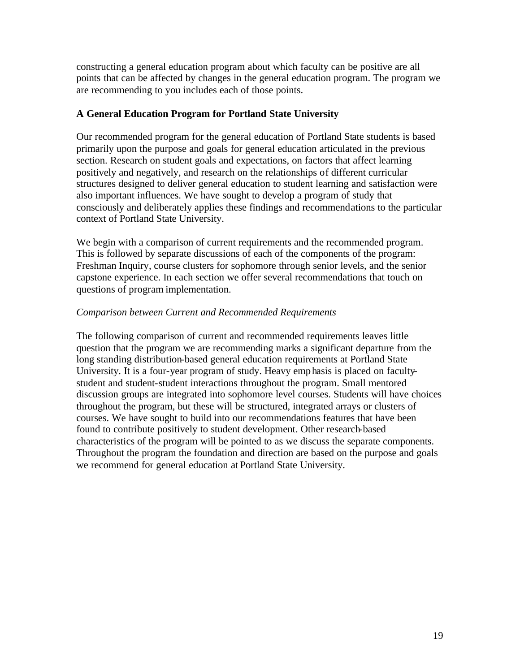constructing a general education program about which faculty can be positive are all points that can be affected by changes in the general education program. The program we are recommending to you includes each of those points.

# **A General Education Program for Portland State University**

Our recommended program for the general education of Portland State students is based primarily upon the purpose and goals for general education articulated in the previous section. Research on student goals and expectations, on factors that affect learning positively and negatively, and research on the relationships of different curricular structures designed to deliver general education to student learning and satisfaction were also important influences. We have sought to develop a program of study that consciously and deliberately applies these findings and recommendations to the particular context of Portland State University.

We begin with a comparison of current requirements and the recommended program. This is followed by separate discussions of each of the components of the program: Freshman Inquiry, course clusters for sophomore through senior levels, and the senior capstone experience. In each section we offer several recommendations that touch on questions of program implementation.

# *Comparison between Current and Recommended Requirements*

The following comparison of current and recommended requirements leaves little question that the program we are recommending marks a significant departure from the long standing distribution-based general education requirements at Portland State University. It is a four-year program of study. Heavy emphasis is placed on facultystudent and student-student interactions throughout the program. Small mentored discussion groups are integrated into sophomore level courses. Students will have choices throughout the program, but these will be structured, integrated arrays or clusters of courses. We have sought to build into our recommendations features that have been found to contribute positively to student development. Other research-based characteristics of the program will be pointed to as we discuss the separate components. Throughout the program the foundation and direction are based on the purpose and goals we recommend for general education at Portland State University.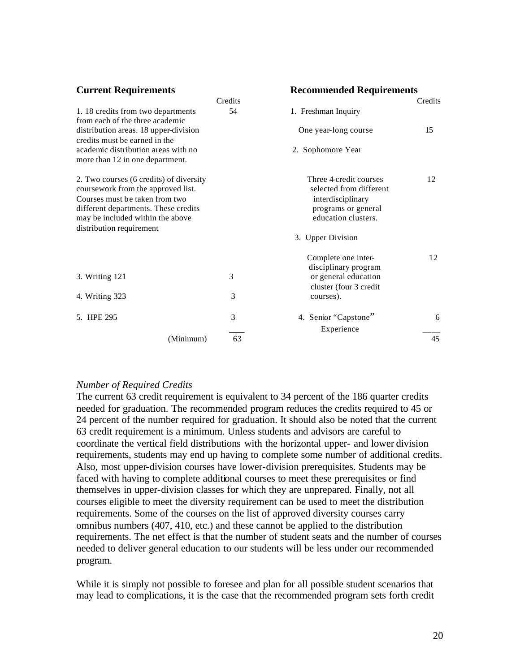| <b>Current Requirements</b>                                                   |         | <b>Recommended Requirements</b>                   |         |
|-------------------------------------------------------------------------------|---------|---------------------------------------------------|---------|
|                                                                               | Credits |                                                   | Credits |
| 1.18 credits from two departments<br>from each of the three academic          | 54      | 1. Freshman Inquiry                               |         |
| distribution areas. 18 upper-division<br>credits must be earned in the        |         | One year-long course                              | 15      |
| academic distribution areas with no<br>more than 12 in one department.        |         | 2. Sophomore Year                                 |         |
| 2. Two courses (6 credits) of diversity<br>coursework from the approved list. |         | Three 4-credit courses<br>selected from different | 12      |
| Courses must be taken from two                                                |         | interdisciplinary                                 |         |
| different departments. These credits                                          |         | programs or general                               |         |
| may be included within the above<br>distribution requirement                  |         | education clusters.                               |         |
|                                                                               |         | 3. Upper Division                                 |         |
|                                                                               |         | Complete one inter-<br>disciplinary program       | 12      |
| 3. Writing 121                                                                | 3       | or general education                              |         |
|                                                                               |         | cluster (four 3 credit                            |         |
| 4. Writing 323                                                                | 3       | courses).                                         |         |
| 5. HPE 295                                                                    | 3       | 4. Senior "Capstone"                              | 6       |
|                                                                               |         | Experience                                        |         |
| (Minimum)                                                                     | 63      |                                                   | 45      |

#### *Number of Required Credits*

The current 63 credit requirement is equivalent to 34 percent of the 186 quarter credits needed for graduation. The recommended program reduces the credits required to 45 or 24 percent of the number required for graduation. It should also be noted that the current 63 credit requirement is a minimum. Unless students and advisors are careful to coordinate the vertical field distributions with the horizontal upper- and lower division requirements, students may end up having to complete some number of additional credits. Also, most upper-division courses have lower-division prerequisites. Students may be faced with having to complete additional courses to meet these prerequisites or find themselves in upper-division classes for which they are unprepared. Finally, not all courses eligible to meet the diversity requirement can be used to meet the distribution requirements. Some of the courses on the list of approved diversity courses carry omnibus numbers (407, 410, etc.) and these cannot be applied to the distribution requirements. The net effect is that the number of student seats and the number of courses needed to deliver general education to our students will be less under our recommended program.

While it is simply not possible to foresee and plan for all possible student scenarios that may lead to complications, it is the case that the recommended program sets forth credit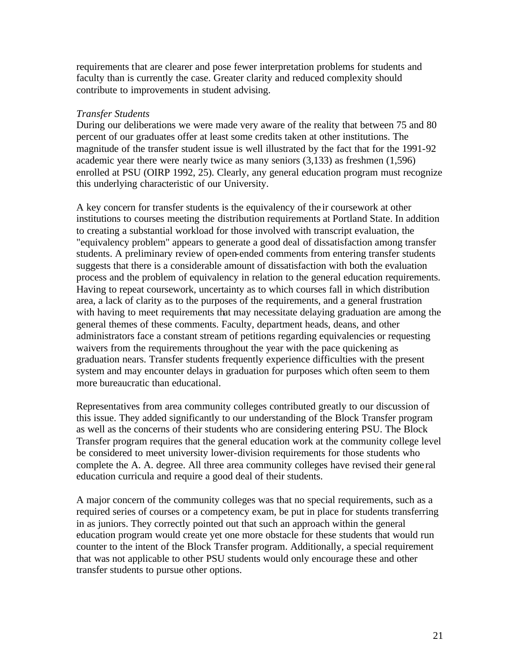requirements that are clearer and pose fewer interpretation problems for students and faculty than is currently the case. Greater clarity and reduced complexity should contribute to improvements in student advising.

## *Transfer Students*

During our deliberations we were made very aware of the reality that between 75 and 80 percent of our graduates offer at least some credits taken at other institutions. The magnitude of the transfer student issue is well illustrated by the fact that for the 1991-92 academic year there were nearly twice as many seniors (3,133) as freshmen (1,596) enrolled at PSU (OIRP 1992, 25). Clearly, any general education program must recognize this underlying characteristic of our University.

A key concern for transfer students is the equivalency of the ir coursework at other institutions to courses meeting the distribution requirements at Portland State. In addition to creating a substantial workload for those involved with transcript evaluation, the "equivalency problem" appears to generate a good deal of dissatisfaction among transfer students. A preliminary review of open-ended comments from entering transfer students suggests that there is a considerable amount of dissatisfaction with both the evaluation process and the problem of equivalency in relation to the general education requirements. Having to repeat coursework, uncertainty as to which courses fall in which distribution area, a lack of clarity as to the purposes of the requirements, and a general frustration with having to meet requirements that may necessitate delaying graduation are among the general themes of these comments. Faculty, department heads, deans, and other administrators face a constant stream of petitions regarding equivalencies or requesting waivers from the requirements throughout the year with the pace quickening as graduation nears. Transfer students frequently experience difficulties with the present system and may encounter delays in graduation for purposes which often seem to them more bureaucratic than educational.

Representatives from area community colleges contributed greatly to our discussion of this issue. They added significantly to our understanding of the Block Transfer program as well as the concerns of their students who are considering entering PSU. The Block Transfer program requires that the general education work at the community college level be considered to meet university lower-division requirements for those students who complete the A. A. degree. All three area community colleges have revised their gene ral education curricula and require a good deal of their students.

A major concern of the community colleges was that no special requirements, such as a required series of courses or a competency exam, be put in place for students transferring in as juniors. They correctly pointed out that such an approach within the general education program would create yet one more obstacle for these students that would run counter to the intent of the Block Transfer program. Additionally, a special requirement that was not applicable to other PSU students would only encourage these and other transfer students to pursue other options.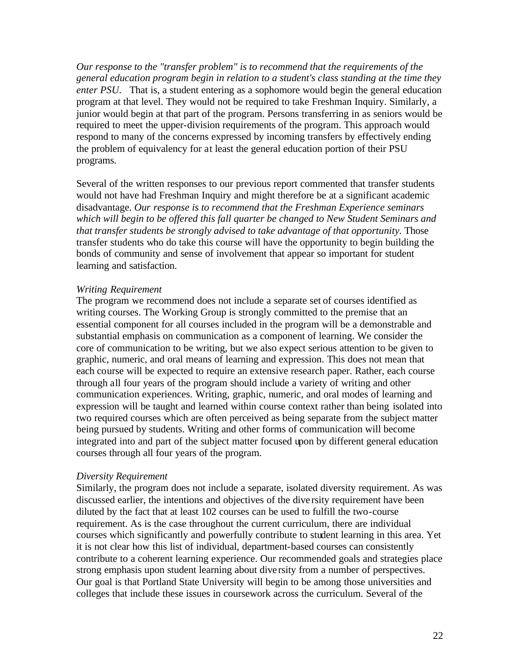*Our response to the "transfer problem" is to recommend that the requirements of the general education program begin in relation to a student's class standing at the time they enter PSU*. That is, a student entering as a sophomore would begin the general education program at that level. They would not be required to take Freshman Inquiry. Similarly, a junior would begin at that part of the program. Persons transferring in as seniors would be required to meet the upper-division requirements of the program. This approach would respond to many of the concerns expressed by incoming transfers by effectively ending the problem of equivalency for at least the general education portion of their PSU programs.

Several of the written responses to our previous report commented that transfer students would not have had Freshman Inquiry and might therefore be at a significant academic disadvantage. *Our response is to recommend that the Freshman Experience seminars which will begin to be offered this fall quarter be changed to New Student Seminars and that transfer students be strongly advised to take advantage of that opportunity. Those* transfer students who do take this course will have the opportunity to begin building the bonds of community and sense of involvement that appear so important for student learning and satisfaction.

#### *Writing Requirement*

The program we recommend does not include a separate set of courses identified as writing courses. The Working Group is strongly committed to the premise that an essential component for all courses included in the program will be a demonstrable and substantial emphasis on communication as a component of learning. We consider the core of communication to be writing, but we also expect serious attention to be given to graphic, numeric, and oral means of learning and expression. This does not mean that each course will be expected to require an extensive research paper. Rather, each course through all four years of the program should include a variety of writing and other communication experiences. Writing, graphic, numeric, and oral modes of learning and expression will be taught and learned within course context rather than being isolated into two required courses which are often perceived as being separate from the subject matter being pursued by students. Writing and other forms of communication will become integrated into and part of the subject matter focused upon by different general education courses through all four years of the program.

## *Diversity Requirement*

Similarly, the program does not include a separate, isolated diversity requirement. As was discussed earlier, the intentions and objectives of the dive rsity requirement have been diluted by the fact that at least 102 courses can be used to fulfill the two-course requirement. As is the case throughout the current curriculum, there are individual courses which significantly and powerfully contribute to student learning in this area. Yet it is not clear how this list of individual, department-based courses can consistently contribute to a coherent learning experience. Our recommended goals and strategies place strong emphasis upon student learning about dive rsity from a number of perspectives. Our goal is that Portland State University will begin to be among those universities and colleges that include these issues in coursework across the curriculum. Several of the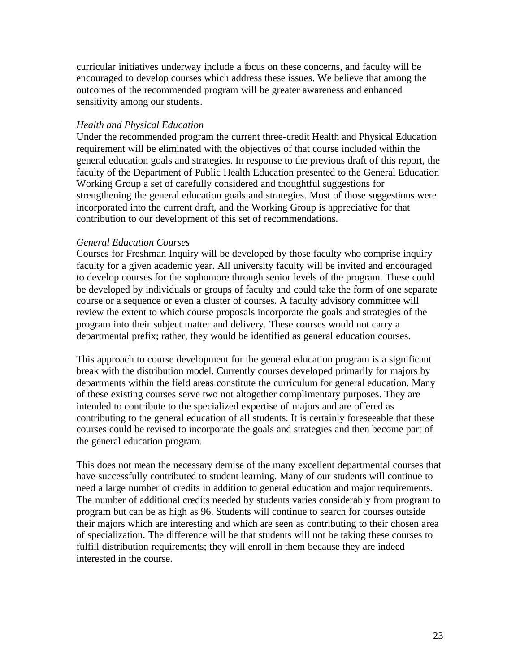curricular initiatives underway include a focus on these concerns, and faculty will be encouraged to develop courses which address these issues. We believe that among the outcomes of the recommended program will be greater awareness and enhanced sensitivity among our students.

## *Health and Physical Education*

Under the recommended program the current three-credit Health and Physical Education requirement will be eliminated with the objectives of that course included within the general education goals and strategies. In response to the previous draft of this report, the faculty of the Department of Public Health Education presented to the General Education Working Group a set of carefully considered and thoughtful suggestions for strengthening the general education goals and strategies. Most of those suggestions were incorporated into the current draft, and the Working Group is appreciative for that contribution to our development of this set of recommendations.

#### *General Education Courses*

Courses for Freshman Inquiry will be developed by those faculty who comprise inquiry faculty for a given academic year. All university faculty will be invited and encouraged to develop courses for the sophomore through senior levels of the program. These could be developed by individuals or groups of faculty and could take the form of one separate course or a sequence or even a cluster of courses. A faculty advisory committee will review the extent to which course proposals incorporate the goals and strategies of the program into their subject matter and delivery. These courses would not carry a departmental prefix; rather, they would be identified as general education courses.

This approach to course development for the general education program is a significant break with the distribution model. Currently courses developed primarily for majors by departments within the field areas constitute the curriculum for general education. Many of these existing courses serve two not altogether complimentary purposes. They are intended to contribute to the specialized expertise of majors and are offered as contributing to the general education of all students. It is certainly foreseeable that these courses could be revised to incorporate the goals and strategies and then become part of the general education program.

This does not mean the necessary demise of the many excellent departmental courses that have successfully contributed to student learning. Many of our students will continue to need a large number of credits in addition to general education and major requirements. The number of additional credits needed by students varies considerably from program to program but can be as high as 96. Students will continue to search for courses outside their majors which are interesting and which are seen as contributing to their chosen area of specialization. The difference will be that students will not be taking these courses to fulfill distribution requirements; they will enroll in them because they are indeed interested in the course.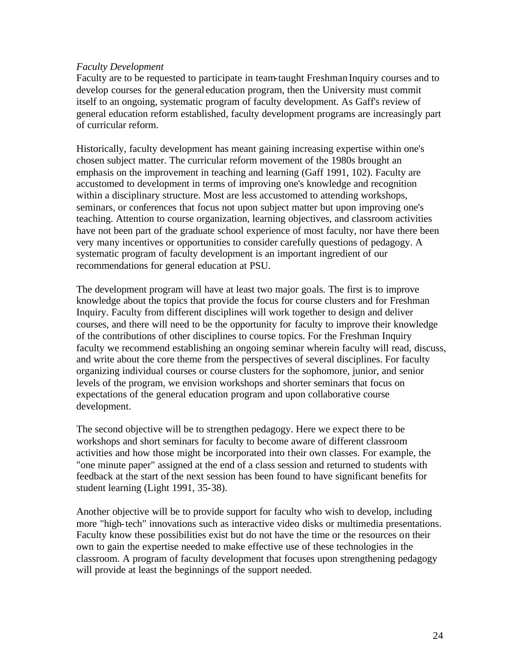## *Faculty Development*

Faculty are to be requested to participate in team-taught Freshman Inquiry courses and to develop courses for the general education program, then the University must commit itself to an ongoing, systematic program of faculty development. As Gaff's review of general education reform established, faculty development programs are increasingly part of curricular reform.

Historically, faculty development has meant gaining increasing expertise within one's chosen subject matter. The curricular reform movement of the 1980s brought an emphasis on the improvement in teaching and learning (Gaff 1991, 102). Faculty are accustomed to development in terms of improving one's knowledge and recognition within a disciplinary structure. Most are less accustomed to attending workshops, seminars, or conferences that focus not upon subject matter but upon improving one's teaching. Attention to course organization, learning objectives, and classroom activities have not been part of the graduate school experience of most faculty, nor have there been very many incentives or opportunities to consider carefully questions of pedagogy. A systematic program of faculty development is an important ingredient of our recommendations for general education at PSU.

The development program will have at least two major goals. The first is to improve knowledge about the topics that provide the focus for course clusters and for Freshman Inquiry. Faculty from different disciplines will work together to design and deliver courses, and there will need to be the opportunity for faculty to improve their knowledge of the contributions of other disciplines to course topics. For the Freshman Inquiry faculty we recommend establishing an ongoing seminar wherein faculty will read, discuss, and write about the core theme from the perspectives of several disciplines. For faculty organizing individual courses or course clusters for the sophomore, junior, and senior levels of the program, we envision workshops and shorter seminars that focus on expectations of the general education program and upon collaborative course development.

The second objective will be to strengthen pedagogy. Here we expect there to be workshops and short seminars for faculty to become aware of different classroom activities and how those might be incorporated into their own classes. For example, the "one minute paper" assigned at the end of a class session and returned to students with feedback at the start of the next session has been found to have significant benefits for student learning (Light 1991, 35-38).

Another objective will be to provide support for faculty who wish to develop, including more "high-tech" innovations such as interactive video disks or multimedia presentations. Faculty know these possibilities exist but do not have the time or the resources on their own to gain the expertise needed to make effective use of these technologies in the classroom. A program of faculty development that focuses upon strengthening pedagogy will provide at least the beginnings of the support needed.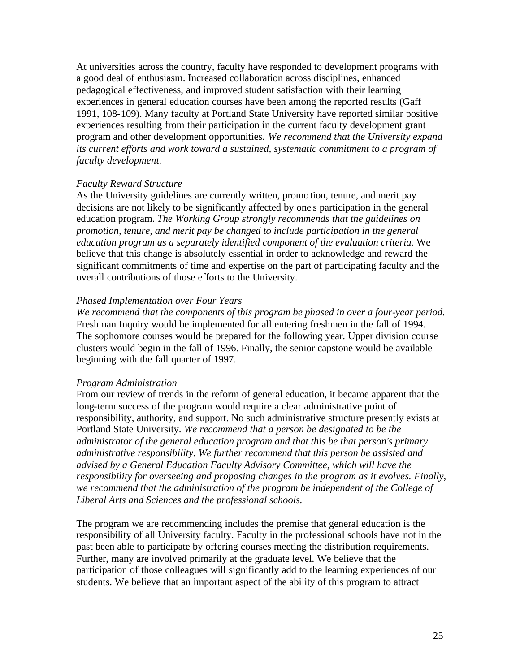At universities across the country, faculty have responded to development programs with a good deal of enthusiasm. Increased collaboration across disciplines, enhanced pedagogical effectiveness, and improved student satisfaction with their learning experiences in general education courses have been among the reported results (Gaff 1991, 108-109). Many faculty at Portland State University have reported similar positive experiences resulting from their participation in the current faculty development grant program and other development opportunities. *We recommend that the University expand*  its current efforts and work toward a sustained, systematic commitment to a program of *faculty development.* 

#### *Faculty Reward Structure*

As the University guidelines are currently written, promo tion, tenure, and merit pay decisions are not likely to be significantly affected by one's participation in the general education program. *The Working Group strongly recommends that the guidelines on promotion, tenure, and merit pay be changed to include participation in the general education program as a separately identified component of the evaluation criteria.* We believe that this change is absolutely essential in order to acknowledge and reward the significant commitments of time and expertise on the part of participating faculty and the overall contributions of those efforts to the University.

#### *Phased Implementation over Four Years*

*We recommend that the components of this program be phased in over a four-year period.*  Freshman Inquiry would be implemented for all entering freshmen in the fall of 1994. The sophomore courses would be prepared for the following year. Upper division course clusters would begin in the fall of 1996. Finally, the senior capstone would be available beginning with the fall quarter of 1997.

#### *Program Administration*

From our review of trends in the reform of general education, it became apparent that the long-term success of the program would require a clear administrative point of responsibility, authority, and support. No such administrative structure presently exists at Portland State University. *We recommend that a person be designated to be the administrator of the general education program and that this be that person's primary administrative responsibility. We further recommend that this person be assisted and advised by a General Education Faculty Advisory Committee, which will have the responsibility for overseeing and proposing changes in the program as it evolves. Finally,*  we recommend that the administration of the program be independent of the College of *Liberal Arts and Sciences and the professional schools.* 

The program we are recommending includes the premise that general education is the responsibility of all University faculty. Faculty in the professional schools have not in the past been able to participate by offering courses meeting the distribution requirements. Further, many are involved primarily at the graduate level. We believe that the participation of those colleagues will significantly add to the learning experiences of our students. We believe that an important aspect of the ability of this program to attract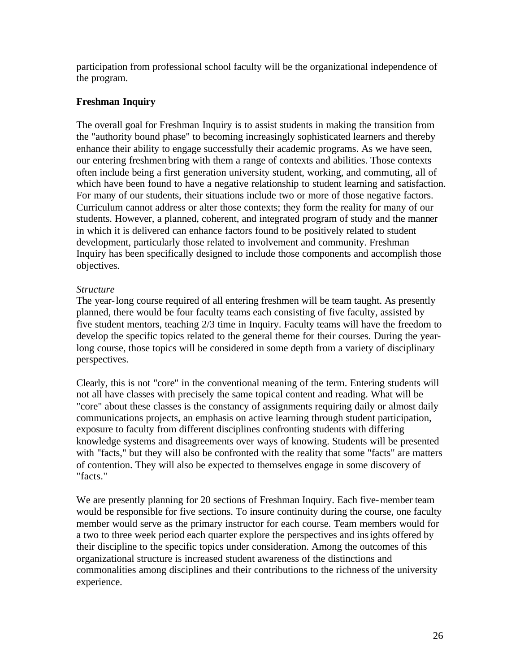participation from professional school faculty will be the organizational independence of the program.

# **Freshman Inquiry**

The overall goal for Freshman Inquiry is to assist students in making the transition from the "authority bound phase" to becoming increasingly sophisticated learners and thereby enhance their ability to engage successfully their academic programs. As we have seen, our entering freshmen bring with them a range of contexts and abilities. Those contexts often include being a first generation university student, working, and commuting, all of which have been found to have a negative relationship to student learning and satisfaction. For many of our students, their situations include two or more of those negative factors. Curriculum cannot address or alter those contexts; they form the reality for many of our students. However, a planned, coherent, and integrated program of study and the manner in which it is delivered can enhance factors found to be positively related to student development, particularly those related to involvement and community. Freshman Inquiry has been specifically designed to include those components and accomplish those objectives.

# *Structure*

The year-long course required of all entering freshmen will be team taught. As presently planned, there would be four faculty teams each consisting of five faculty, assisted by five student mentors, teaching 2/3 time in Inquiry. Faculty teams will have the freedom to develop the specific topics related to the general theme for their courses. During the yearlong course, those topics will be considered in some depth from a variety of disciplinary perspectives.

Clearly, this is not "core" in the conventional meaning of the term. Entering students will not all have classes with precisely the same topical content and reading. What will be "core" about these classes is the constancy of assignments requiring daily or almost daily communications projects, an emphasis on active learning through student participation, exposure to faculty from different disciplines confronting students with differing knowledge systems and disagreements over ways of knowing. Students will be presented with "facts," but they will also be confronted with the reality that some "facts" are matters of contention. They will also be expected to themselves engage in some discovery of "facts."

We are presently planning for 20 sections of Freshman Inquiry. Each five-member team would be responsible for five sections. To insure continuity during the course, one faculty member would serve as the primary instructor for each course. Team members would for a two to three week period each quarter explore the perspectives and insights offered by their discipline to the specific topics under consideration. Among the outcomes of this organizational structure is increased student awareness of the distinctions and commonalities among disciplines and their contributions to the richness of the university experience.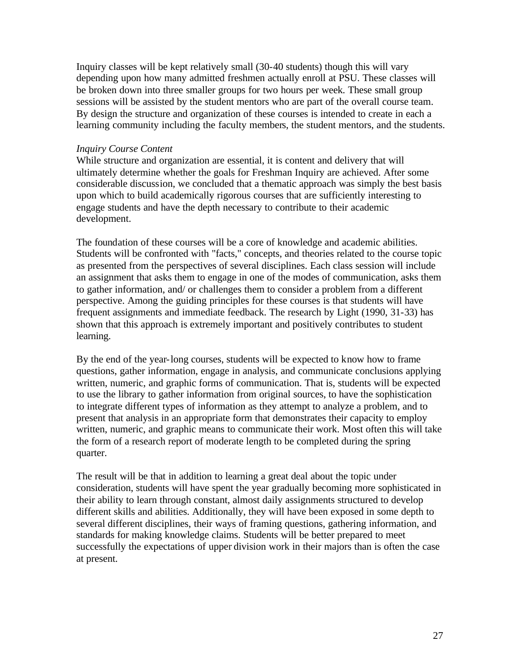Inquiry classes will be kept relatively small (30-40 students) though this will vary depending upon how many admitted freshmen actually enroll at PSU. These classes will be broken down into three smaller groups for two hours per week. These small group sessions will be assisted by the student mentors who are part of the overall course team. By design the structure and organization of these courses is intended to create in each a learning community including the faculty members, the student mentors, and the students.

#### *Inquiry Course Content*

While structure and organization are essential, it is content and delivery that will ultimately determine whether the goals for Freshman Inquiry are achieved. After some considerable discussion, we concluded that a thematic approach was simply the best basis upon which to build academically rigorous courses that are sufficiently interesting to engage students and have the depth necessary to contribute to their academic development.

The foundation of these courses will be a core of knowledge and academic abilities. Students will be confronted with "facts," concepts, and theories related to the course topic as presented from the perspectives of several disciplines. Each class session will include an assignment that asks them to engage in one of the modes of communication, asks them to gather information, and/ or challenges them to consider a problem from a different perspective. Among the guiding principles for these courses is that students will have frequent assignments and immediate feedback. The research by Light (1990, 31-33) has shown that this approach is extremely important and positively contributes to student learning.

By the end of the year-long courses, students will be expected to know how to frame questions, gather information, engage in analysis, and communicate conclusions applying written, numeric, and graphic forms of communication. That is, students will be expected to use the library to gather information from original sources, to have the sophistication to integrate different types of information as they attempt to analyze a problem, and to present that analysis in an appropriate form that demonstrates their capacity to employ written, numeric, and graphic means to communicate their work. Most often this will take the form of a research report of moderate length to be completed during the spring quarter.

The result will be that in addition to learning a great deal about the topic under consideration, students will have spent the year gradually becoming more sophisticated in their ability to learn through constant, almost daily assignments structured to develop different skills and abilities. Additionally, they will have been exposed in some depth to several different disciplines, their ways of framing questions, gathering information, and standards for making knowledge claims. Students will be better prepared to meet successfully the expectations of upper division work in their majors than is often the case at present.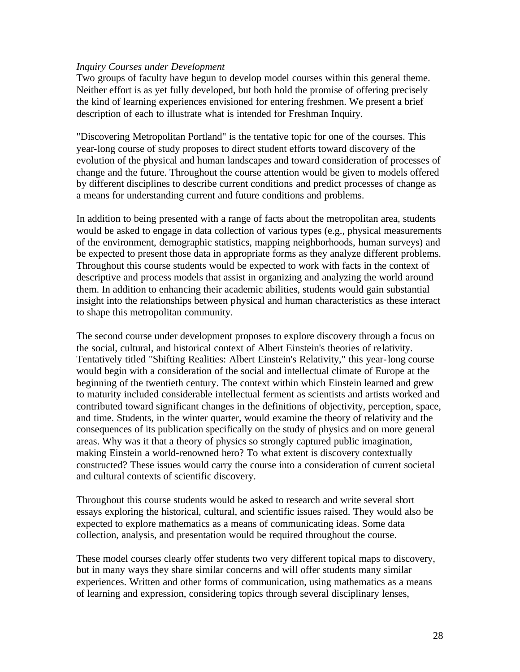#### *Inquiry Courses under Development*

Two groups of faculty have begun to develop model courses within this general theme. Neither effort is as yet fully developed, but both hold the promise of offering precisely the kind of learning experiences envisioned for entering freshmen. We present a brief description of each to illustrate what is intended for Freshman Inquiry.

"Discovering Metropolitan Portland" is the tentative topic for one of the courses. This year-long course of study proposes to direct student efforts toward discovery of the evolution of the physical and human landscapes and toward consideration of processes of change and the future. Throughout the course attention would be given to models offered by different disciplines to describe current conditions and predict processes of change as a means for understanding current and future conditions and problems.

In addition to being presented with a range of facts about the metropolitan area, students would be asked to engage in data collection of various types (e.g., physical measurements of the environment, demographic statistics, mapping neighborhoods, human surveys) and be expected to present those data in appropriate forms as they analyze different problems. Throughout this course students would be expected to work with facts in the context of descriptive and process models that assist in organizing and analyzing the world around them. In addition to enhancing their academic abilities, students would gain substantial insight into the relationships between physical and human characteristics as these interact to shape this metropolitan community.

The second course under development proposes to explore discovery through a focus on the social, cultural, and historical context of Albert Einstein's theories of relativity. Tentatively titled "Shifting Realities: Albert Einstein's Relativity," this year-long course would begin with a consideration of the social and intellectual climate of Europe at the beginning of the twentieth century. The context within which Einstein learned and grew to maturity included considerable intellectual ferment as scientists and artists worked and contributed toward significant changes in the definitions of objectivity, perception, space, and time. Students, in the winter quarter, would examine the theory of relativity and the consequences of its publication specifically on the study of physics and on more general areas. Why was it that a theory of physics so strongly captured public imagination, making Einstein a world-renowned hero? To what extent is discovery contextually constructed? These issues would carry the course into a consideration of current societal and cultural contexts of scientific discovery.

Throughout this course students would be asked to research and write several short essays exploring the historical, cultural, and scientific issues raised. They would also be expected to explore mathematics as a means of communicating ideas. Some data collection, analysis, and presentation would be required throughout the course.

These model courses clearly offer students two very different topical maps to discovery, but in many ways they share similar concerns and will offer students many similar experiences. Written and other forms of communication, using mathematics as a means of learning and expression, considering topics through several disciplinary lenses,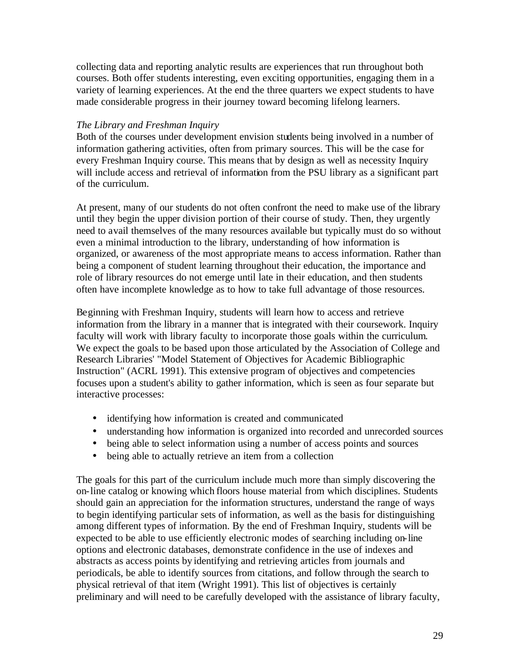collecting data and reporting analytic results are experiences that run throughout both courses. Both offer students interesting, even exciting opportunities, engaging them in a variety of learning experiences. At the end the three quarters we expect students to have made considerable progress in their journey toward becoming lifelong learners.

# *The Library and Freshman Inquiry*

Both of the courses under development envision students being involved in a number of information gathering activities, often from primary sources. This will be the case for every Freshman Inquiry course. This means that by design as well as necessity Inquiry will include access and retrieval of information from the PSU library as a significant part of the curriculum.

At present, many of our students do not often confront the need to make use of the library until they begin the upper division portion of their course of study. Then, they urgently need to avail themselves of the many resources available but typically must do so without even a minimal introduction to the library, understanding of how information is organized, or awareness of the most appropriate means to access information. Rather than being a component of student learning throughout their education, the importance and role of library resources do not emerge until late in their education, and then students often have incomplete knowledge as to how to take full advantage of those resources.

Beginning with Freshman Inquiry, students will learn how to access and retrieve information from the library in a manner that is integrated with their coursework. Inquiry faculty will work with library faculty to incorporate those goals within the curriculum. We expect the goals to be based upon those articulated by the Association of College and Research Libraries' "Model Statement of Objectives for Academic Bibliographic Instruction" (ACRL 1991). This extensive program of objectives and competencies focuses upon a student's ability to gather information, which is seen as four separate but interactive processes:

- identifying how information is created and communicated
- understanding how information is organized into recorded and unrecorded sources
- being able to select information using a number of access points and sources
- being able to actually retrieve an item from a collection

The goals for this part of the curriculum include much more than simply discovering the on-line catalog or knowing which floors house material from which disciplines. Students should gain an appreciation for the information structures, understand the range of ways to begin identifying particular sets of information, as well as the basis for distinguishing among different types of information. By the end of Freshman Inquiry, students will be expected to be able to use efficiently electronic modes of searching including on-line options and electronic databases, demonstrate confidence in the use of indexes and abstracts as access points by identifying and retrieving articles from journals and periodicals, be able to identify sources from citations, and follow through the search to physical retrieval of that item (Wright 1991). This list of objectives is certainly preliminary and will need to be carefully developed with the assistance of library faculty,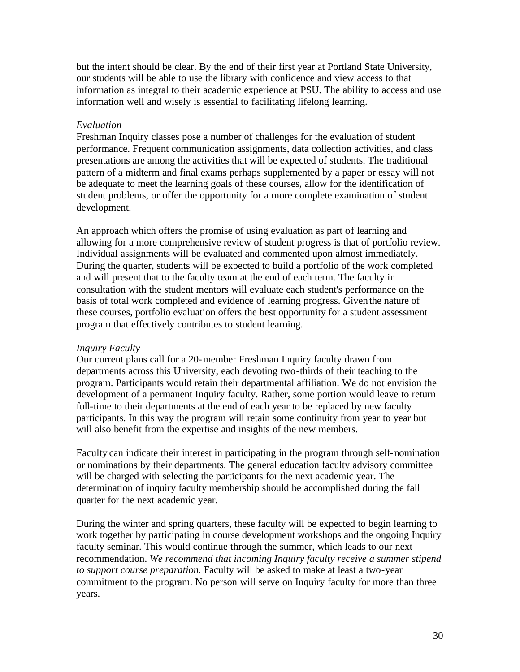but the intent should be clear. By the end of their first year at Portland State University, our students will be able to use the library with confidence and view access to that information as integral to their academic experience at PSU. The ability to access and use information well and wisely is essential to facilitating lifelong learning.

## *Evaluation*

Freshman Inquiry classes pose a number of challenges for the evaluation of student performance. Frequent communication assignments, data collection activities, and class presentations are among the activities that will be expected of students. The traditional pattern of a midterm and final exams perhaps supplemented by a paper or essay will not be adequate to meet the learning goals of these courses, allow for the identification of student problems, or offer the opportunity for a more complete examination of student development.

An approach which offers the promise of using evaluation as part of learning and allowing for a more comprehensive review of student progress is that of portfolio review. Individual assignments will be evaluated and commented upon almost immediately. During the quarter, students will be expected to build a portfolio of the work completed and will present that to the faculty team at the end of each term. The faculty in consultation with the student mentors will evaluate each student's performance on the basis of total work completed and evidence of learning progress. Given the nature of these courses, portfolio evaluation offers the best opportunity for a student assessment program that effectively contributes to student learning.

## *Inquiry Faculty*

Our current plans call for a 20-member Freshman Inquiry faculty drawn from departments across this University, each devoting two-thirds of their teaching to the program. Participants would retain their departmental affiliation. We do not envision the development of a permanent Inquiry faculty. Rather, some portion would leave to return full-time to their departments at the end of each year to be replaced by new faculty participants. In this way the program will retain some continuity from year to year but will also benefit from the expertise and insights of the new members.

Faculty can indicate their interest in participating in the program through self-nomination or nominations by their departments. The general education faculty advisory committee will be charged with selecting the participants for the next academic year. The determination of inquiry faculty membership should be accomplished during the fall quarter for the next academic year.

During the winter and spring quarters, these faculty will be expected to begin learning to work together by participating in course development workshops and the ongoing Inquiry faculty seminar. This would continue through the summer, which leads to our next recommendation. *We recommend that incoming Inquiry faculty receive a summer stipend to support course preparation.* Faculty will be asked to make at least a two-year commitment to the program. No person will serve on Inquiry faculty for more than three years.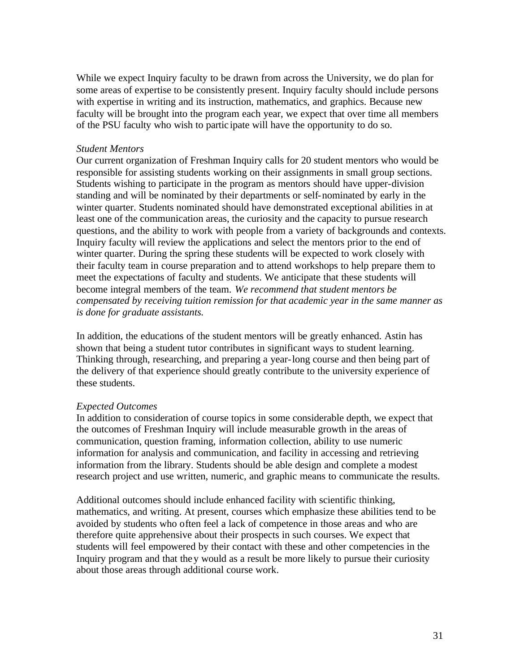While we expect Inquiry faculty to be drawn from across the University, we do plan for some areas of expertise to be consistently present. Inquiry faculty should include persons with expertise in writing and its instruction, mathematics, and graphics. Because new faculty will be brought into the program each year, we expect that over time all members of the PSU faculty who wish to partic ipate will have the opportunity to do so.

#### *Student Mentors*

Our current organization of Freshman Inquiry calls for 20 student mentors who would be responsible for assisting students working on their assignments in small group sections. Students wishing to participate in the program as mentors should have upper-division standing and will be nominated by their departments or self-nominated by early in the winter quarter. Students nominated should have demonstrated exceptional abilities in at least one of the communication areas, the curiosity and the capacity to pursue research questions, and the ability to work with people from a variety of backgrounds and contexts. Inquiry faculty will review the applications and select the mentors prior to the end of winter quarter. During the spring these students will be expected to work closely with their faculty team in course preparation and to attend workshops to help prepare them to meet the expectations of faculty and students. We anticipate that these students will become integral members of the team. *We recommend that student mentors be compensated by receiving tuition remission for that academic year in the same manner as is done for graduate assistants.* 

In addition, the educations of the student mentors will be greatly enhanced. Astin has shown that being a student tutor contributes in significant ways to student learning. Thinking through, researching, and preparing a year-long course and then being part of the delivery of that experience should greatly contribute to the university experience of these students.

#### *Expected Outcomes*

In addition to consideration of course topics in some considerable depth, we expect that the outcomes of Freshman Inquiry will include measurable growth in the areas of communication, question framing, information collection, ability to use numeric information for analysis and communication, and facility in accessing and retrieving information from the library. Students should be able design and complete a modest research project and use written, numeric, and graphic means to communicate the results.

Additional outcomes should include enhanced facility with scientific thinking, mathematics, and writing. At present, courses which emphasize these abilities tend to be avoided by students who often feel a lack of competence in those areas and who are therefore quite apprehensive about their prospects in such courses. We expect that students will feel empowered by their contact with these and other competencies in the Inquiry program and that they would as a result be more likely to pursue their curiosity about those areas through additional course work.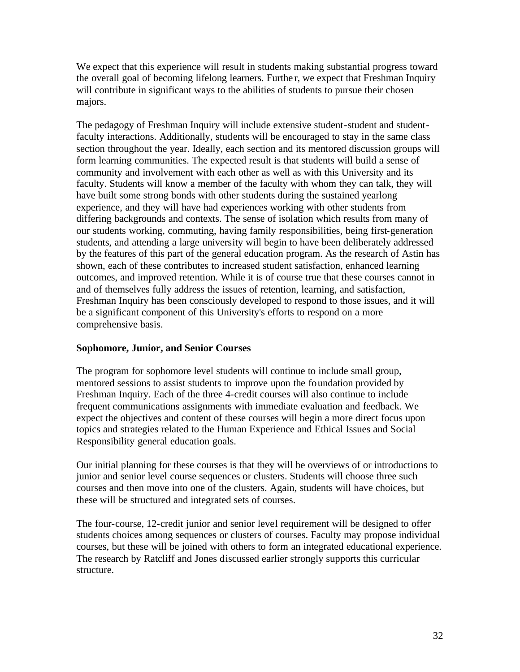We expect that this experience will result in students making substantial progress toward the overall goal of becoming lifelong learners. Furthe r, we expect that Freshman Inquiry will contribute in significant ways to the abilities of students to pursue their chosen majors.

The pedagogy of Freshman Inquiry will include extensive student-student and studentfaculty interactions. Additionally, students will be encouraged to stay in the same class section throughout the year. Ideally, each section and its mentored discussion groups will form learning communities. The expected result is that students will build a sense of community and involvement with each other as well as with this University and its faculty. Students will know a member of the faculty with whom they can talk, they will have built some strong bonds with other students during the sustained yearlong experience, and they will have had experiences working with other students from differing backgrounds and contexts. The sense of isolation which results from many of our students working, commuting, having family responsibilities, being first-generation students, and attending a large university will begin to have been deliberately addressed by the features of this part of the general education program. As the research of Astin has shown, each of these contributes to increased student satisfaction, enhanced learning outcomes, and improved retention. While it is of course true that these courses cannot in and of themselves fully address the issues of retention, learning, and satisfaction, Freshman Inquiry has been consciously developed to respond to those issues, and it will be a significant component of this University's efforts to respond on a more comprehensive basis.

## **Sophomore, Junior, and Senior Courses**

The program for sophomore level students will continue to include small group, mentored sessions to assist students to improve upon the foundation provided by Freshman Inquiry. Each of the three 4-credit courses will also continue to include frequent communications assignments with immediate evaluation and feedback. We expect the objectives and content of these courses will begin a more direct focus upon topics and strategies related to the Human Experience and Ethical Issues and Social Responsibility general education goals.

Our initial planning for these courses is that they will be overviews of or introductions to junior and senior level course sequences or clusters. Students will choose three such courses and then move into one of the clusters. Again, students will have choices, but these will be structured and integrated sets of courses.

The four-course, 12-credit junior and senior level requirement will be designed to offer students choices among sequences or clusters of courses. Faculty may propose individual courses, but these will be joined with others to form an integrated educational experience. The research by Ratcliff and Jones discussed earlier strongly supports this curricular structure.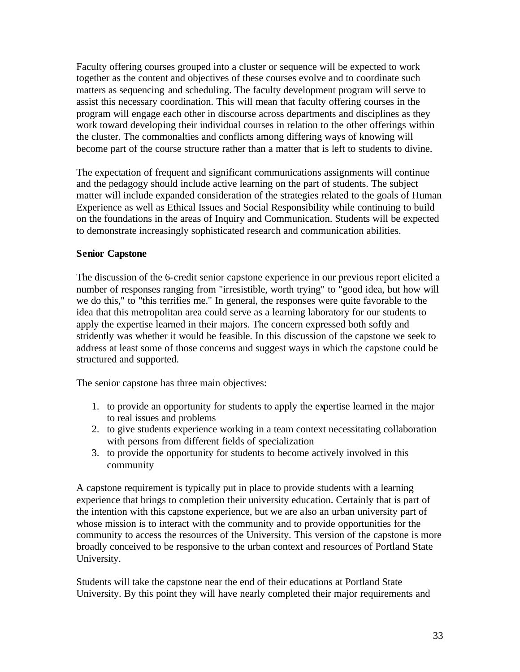Faculty offering courses grouped into a cluster or sequence will be expected to work together as the content and objectives of these courses evolve and to coordinate such matters as sequencing and scheduling. The faculty development program will serve to assist this necessary coordination. This will mean that faculty offering courses in the program will engage each other in discourse across departments and disciplines as they work toward developing their individual courses in relation to the other offerings within the cluster. The commonalties and conflicts among differing ways of knowing will become part of the course structure rather than a matter that is left to students to divine.

The expectation of frequent and significant communications assignments will continue and the pedagogy should include active learning on the part of students. The subject matter will include expanded consideration of the strategies related to the goals of Human Experience as well as Ethical Issues and Social Responsibility while continuing to build on the foundations in the areas of Inquiry and Communication. Students will be expected to demonstrate increasingly sophisticated research and communication abilities.

# **Senior Capstone**

The discussion of the 6-credit senior capstone experience in our previous report elicited a number of responses ranging from "irresistible, worth trying" to "good idea, but how will we do this," to "this terrifies me." In general, the responses were quite favorable to the idea that this metropolitan area could serve as a learning laboratory for our students to apply the expertise learned in their majors. The concern expressed both softly and stridently was whether it would be feasible. In this discussion of the capstone we seek to address at least some of those concerns and suggest ways in which the capstone could be structured and supported.

The senior capstone has three main objectives:

- 1. to provide an opportunity for students to apply the expertise learned in the major to real issues and problems
- 2. to give students experience working in a team context necessitating collaboration with persons from different fields of specialization
- 3. to provide the opportunity for students to become actively involved in this community

A capstone requirement is typically put in place to provide students with a learning experience that brings to completion their university education. Certainly that is part of the intention with this capstone experience, but we are also an urban university part of whose mission is to interact with the community and to provide opportunities for the community to access the resources of the University. This version of the capstone is more broadly conceived to be responsive to the urban context and resources of Portland State University.

Students will take the capstone near the end of their educations at Portland State University. By this point they will have nearly completed their major requirements and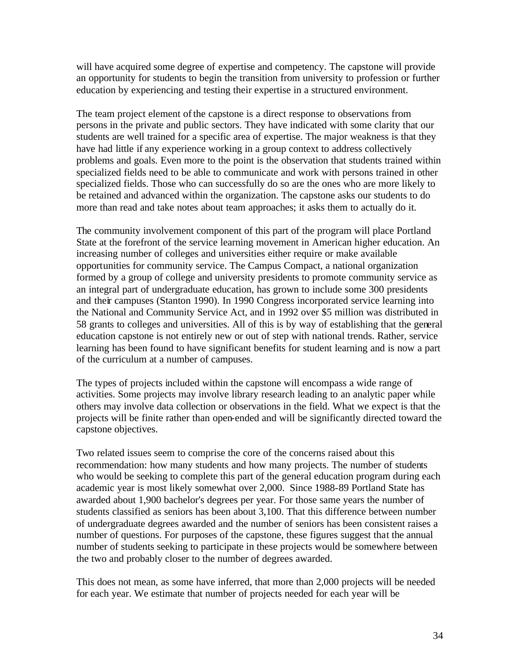will have acquired some degree of expertise and competency. The capstone will provide an opportunity for students to begin the transition from university to profession or further education by experiencing and testing their expertise in a structured environment.

The team project element of the capstone is a direct response to observations from persons in the private and public sectors. They have indicated with some clarity that our students are well trained for a specific area of expertise. The major weakness is that they have had little if any experience working in a group context to address collectively problems and goals. Even more to the point is the observation that students trained within specialized fields need to be able to communicate and work with persons trained in other specialized fields. Those who can successfully do so are the ones who are more likely to be retained and advanced within the organization. The capstone asks our students to do more than read and take notes about team approaches; it asks them to actually do it.

The community involvement component of this part of the program will place Portland State at the forefront of the service learning movement in American higher education. An increasing number of colleges and universities either require or make available opportunities for community service. The Campus Compact, a national organization formed by a group of college and university presidents to promote community service as an integral part of undergraduate education, has grown to include some 300 presidents and their campuses (Stanton 1990). In 1990 Congress incorporated service learning into the National and Community Service Act, and in 1992 over \$5 million was distributed in 58 grants to colleges and universities. All of this is by way of establishing that the general education capstone is not entirely new or out of step with national trends. Rather, service learning has been found to have significant benefits for student learning and is now a part of the curriculum at a number of campuses.

The types of projects included within the capstone will encompass a wide range of activities. Some projects may involve library research leading to an analytic paper while others may involve data collection or observations in the field. What we expect is that the projects will be finite rather than open-ended and will be significantly directed toward the capstone objectives.

 academic year is most likely somewhat over 2,000. Since 1988-89 Portland State has Two related issues seem to comprise the core of the concerns raised about this recommendation: how many students and how many projects. The number of students who would be seeking to complete this part of the general education program during each awarded about 1,900 bachelor's degrees per year. For those same years the number of students classified as seniors has been about 3,100. That this difference between number of undergraduate degrees awarded and the number of seniors has been consistent raises a number of questions. For purposes of the capstone, these figures suggest that the annual number of students seeking to participate in these projects would be somewhere between the two and probably closer to the number of degrees awarded.

This does not mean, as some have inferred, that more than 2,000 projects will be needed for each year. We estimate that number of projects needed for each year will be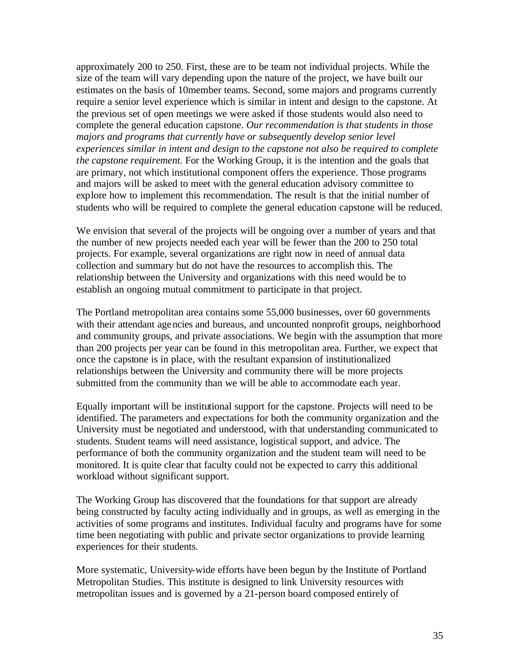approximately 200 to 250. First, these are to be team not individual projects. While the size of the team will vary depending upon the nature of the project, we have built our estimates on the basis of 10member teams. Second, some majors and programs currently require a senior level experience which is similar in intent and design to the capstone. At the previous set of open meetings we were asked if those students would also need to complete the general education capstone. *Our recommendation is that students in those majors and programs that currently have or subsequently develop senior level experiences similar in intent and design to the capstone not also be required to complete the capstone requirement.* For the Working Group, it is the intention and the goals that are primary, not which institutional component offers the experience. Those programs and majors will be asked to meet with the general education advisory committee to explore how to implement this recommendation. The result is that the initial number of students who will be required to complete the general education capstone will be reduced.

We envision that several of the projects will be ongoing over a number of years and that the number of new projects needed each year will be fewer than the 200 to 250 total projects. For example, several organizations are right now in need of annual data collection and summary but do not have the resources to accomplish this. The relationship between the University and organizations with this need would be to establish an ongoing mutual commitment to participate in that project.

The Portland metropolitan area contains some 55,000 businesses, over 60 governments with their attendant age ncies and bureaus, and uncounted nonprofit groups, neighborhood and community groups, and private associations. We begin with the assumption that more than 200 projects per year can be found in this metropolitan area. Further, we expect that once the capstone is in place, with the resultant expansion of institutionalized relationships between the University and community there will be more projects submitted from the community than we will be able to accommodate each year.

Equally important will be institutional support for the capstone. Projects will need to be identified. The parameters and expectations for both the community organization and the University must be negotiated and understood, with that understanding communicated to students. Student teams will need assistance, logistical support, and advice. The performance of both the community organization and the student team will need to be monitored. It is quite clear that faculty could not be expected to carry this additional workload without significant support.

The Working Group has discovered that the foundations for that support are already being constructed by faculty acting individually and in groups, as well as emerging in the activities of some programs and institutes. Individual faculty and programs have for some time been negotiating with public and private sector organizations to provide learning experiences for their students.

More systematic, University-wide efforts have been begun by the Institute of Portland Metropolitan Studies. This institute is designed to link University resources with metropolitan issues and is governed by a 21-person board composed entirely of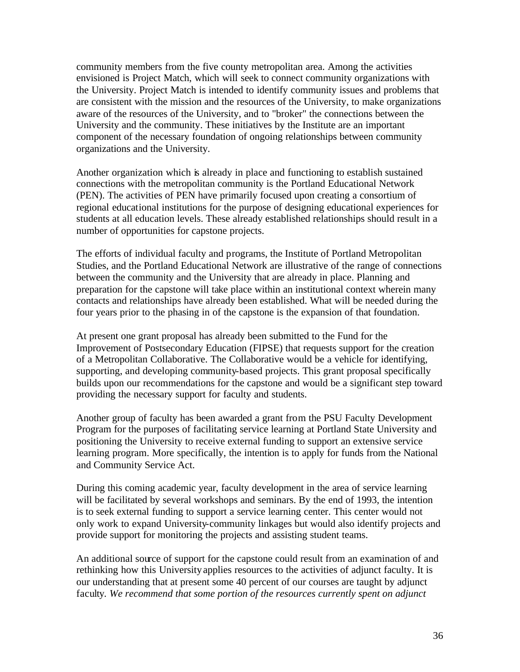community members from the five county metropolitan area. Among the activities envisioned is Project Match, which will seek to connect community organizations with the University. Project Match is intended to identify community issues and problems that are consistent with the mission and the resources of the University, to make organizations aware of the resources of the University, and to "broker" the connections between the University and the community. These initiatives by the Institute are an important component of the necessary foundation of ongoing relationships between community organizations and the University.

Another organization which is already in place and functioning to establish sustained connections with the metropolitan community is the Portland Educational Network (PEN). The activities of PEN have primarily focused upon creating a consortium of regional educational institutions for the purpose of designing educational experiences for students at all education levels. These already established relationships should result in a number of opportunities for capstone projects.

The efforts of individual faculty and programs, the Institute of Portland Metropolitan Studies, and the Portland Educational Network are illustrative of the range of connections between the community and the University that are already in place. Planning and preparation for the capstone will take place within an institutional context wherein many contacts and relationships have already been established. What will be needed during the four years prior to the phasing in of the capstone is the expansion of that foundation.

At present one grant proposal has already been submitted to the Fund for the Improvement of Postsecondary Education (FIPSE) that requests support for the creation of a Metropolitan Collaborative. The Collaborative would be a vehicle for identifying, supporting, and developing community-based projects. This grant proposal specifically builds upon our recommendations for the capstone and would be a significant step toward providing the necessary support for faculty and students.

Another group of faculty has been awarded a grant from the PSU Faculty Development Program for the purposes of facilitating service learning at Portland State University and positioning the University to receive external funding to support an extensive service learning program. More specifically, the intention is to apply for funds from the National and Community Service Act.

During this coming academic year, faculty development in the area of service learning will be facilitated by several workshops and seminars. By the end of 1993, the intention is to seek external funding to support a service learning center. This center would not only work to expand University-community linkages but would also identify projects and provide support for monitoring the projects and assisting student teams.

An additional source of support for the capstone could result from an examination of and rethinking how this University applies resources to the activities of adjunct faculty. It is our understanding that at present some 40 percent of our courses are taught by adjunct faculty. *We recommend that some portion of the resources currently spent on adjunct*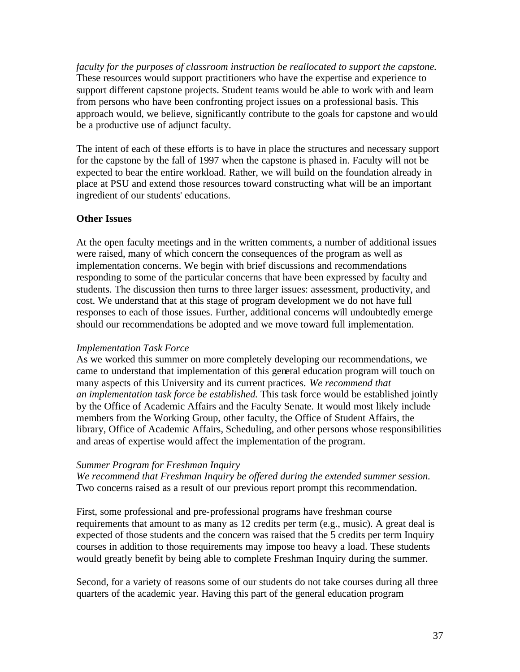*faculty for the purposes of classroom instruction be reallocated to support the capstone.*  These resources would support practitioners who have the expertise and experience to support different capstone projects. Student teams would be able to work with and learn from persons who have been confronting project issues on a professional basis. This approach would, we believe, significantly contribute to the goals for capstone and wo uld be a productive use of adjunct faculty.

The intent of each of these efforts is to have in place the structures and necessary support for the capstone by the fall of 1997 when the capstone is phased in. Faculty will not be expected to bear the entire workload. Rather, we will build on the foundation already in place at PSU and extend those resources toward constructing what will be an important ingredient of our students' educations.

# **Other Issues**

At the open faculty meetings and in the written comments, a number of additional issues were raised, many of which concern the consequences of the program as well as implementation concerns. We begin with brief discussions and recommendations responding to some of the particular concerns that have been expressed by faculty and students. The discussion then turns to three larger issues: assessment, productivity, and cost. We understand that at this stage of program development we do not have full responses to each of those issues. Further, additional concerns will undoubtedly emerge should our recommendations be adopted and we move toward full implementation.

# *Implementation Task Force*

As we worked this summer on more completely developing our recommendations, we came to understand that implementation of this general education program will touch on many aspects of this University and its current practices. *We recommend that an implementation task force be established.* This task force would be established jointly by the Office of Academic Affairs and the Faculty Senate. It would most likely include members from the Working Group, other faculty, the Office of Student Affairs, the library, Office of Academic Affairs, Scheduling, and other persons whose responsibilities and areas of expertise would affect the implementation of the program.

## *Summer Program for Freshman Inquiry*

*We recommend that Freshman Inquiry be offered during the extended summer session.*  Two concerns raised as a result of our previous report prompt this recommendation.

First, some professional and pre-professional programs have freshman course requirements that amount to as many as 12 credits per term (e.g., music). A great deal is expected of those students and the concern was raised that the 5 credits per term Inquiry courses in addition to those requirements may impose too heavy a load. These students would greatly benefit by being able to complete Freshman Inquiry during the summer.

Second, for a variety of reasons some of our students do not take courses during all three quarters of the academic year. Having this part of the general education program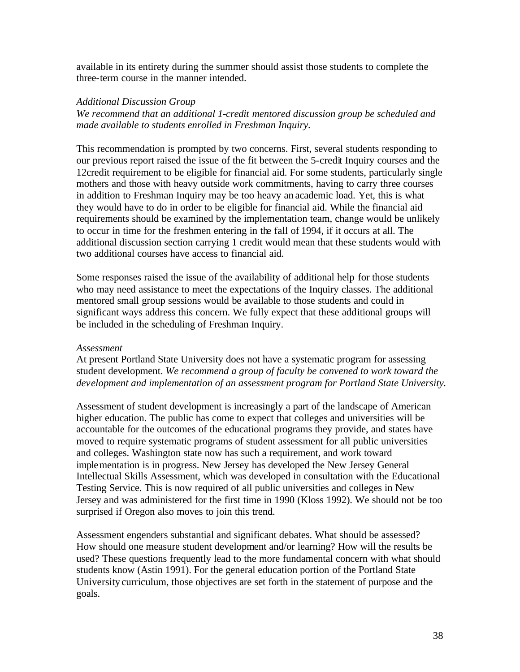available in its entirety during the summer should assist those students to complete the three-term course in the manner intended.

## *Additional Discussion Group*

*We recommend that an additional 1-credit mentored discussion group be scheduled and made available to students enrolled in Freshman Inquiry.* 

This recommendation is prompted by two concerns. First, several students responding to our previous report raised the issue of the fit between the 5-credit Inquiry courses and the 12credit requirement to be eligible for financial aid. For some students, particularly single mothers and those with heavy outside work commitments, having to carry three courses in addition to Freshman Inquiry may be too heavy an academic load. Yet, this is what they would have to do in order to be eligible for financial aid. While the financial aid requirements should be examined by the implementation team, change would be unlikely to occur in time for the freshmen entering in the fall of 1994, if it occurs at all. The additional discussion section carrying 1 credit would mean that these students would with two additional courses have access to financial aid.

Some responses raised the issue of the availability of additional help for those students who may need assistance to meet the expectations of the Inquiry classes. The additional mentored small group sessions would be available to those students and could in significant ways address this concern. We fully expect that these additional groups will be included in the scheduling of Freshman Inquiry.

## *Assessment*

At present Portland State University does not have a systematic program for assessing student development. *We recommend a group of faculty be convened to work toward the development and implementation of an assessment program for Portland State University.* 

Assessment of student development is increasingly a part of the landscape of American higher education. The public has come to expect that colleges and universities will be accountable for the outcomes of the educational programs they provide, and states have moved to require systematic programs of student assessment for all public universities and colleges. Washington state now has such a requirement, and work toward implementation is in progress. New Jersey has developed the New Jersey General Intellectual Skills Assessment, which was developed in consultation with the Educational Testing Service. This is now required of all public universities and colleges in New Jersey and was administered for the first time in 1990 (Kloss 1992). We should not be too surprised if Oregon also moves to join this trend.

Assessment engenders substantial and significant debates. What should be assessed? How should one measure student development and/or learning? How will the results be used? These questions frequently lead to the more fundamental concern with what should students know (Astin 1991). For the general education portion of the Portland State University curriculum, those objectives are set forth in the statement of purpose and the goals.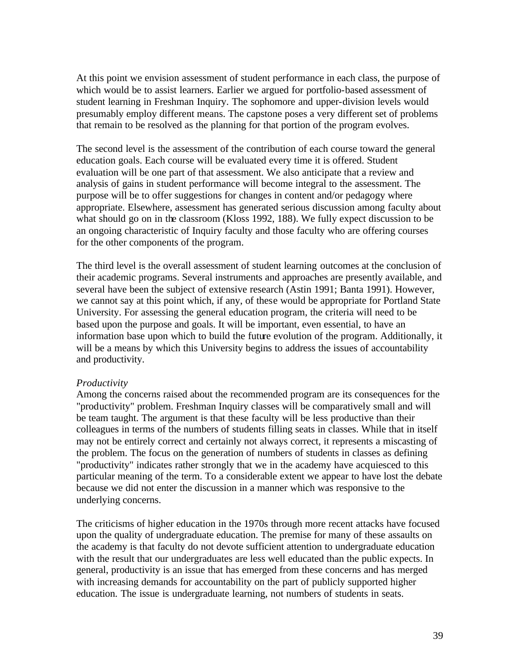At this point we envision assessment of student performance in each class, the purpose of which would be to assist learners. Earlier we argued for portfolio-based assessment of student learning in Freshman Inquiry. The sophomore and upper-division levels would presumably employ different means. The capstone poses a very different set of problems that remain to be resolved as the planning for that portion of the program evolves.

The second level is the assessment of the contribution of each course toward the general education goals. Each course will be evaluated every time it is offered. Student evaluation will be one part of that assessment. We also anticipate that a review and analysis of gains in student performance will become integral to the assessment. The purpose will be to offer suggestions for changes in content and/or pedagogy where appropriate. Elsewhere, assessment has generated serious discussion among faculty about what should go on in the classroom (Kloss 1992, 188). We fully expect discussion to be an ongoing characteristic of Inquiry faculty and those faculty who are offering courses for the other components of the program.

The third level is the overall assessment of student learning outcomes at the conclusion of their academic programs. Several instruments and approaches are presently available, and several have been the subject of extensive research (Astin 1991; Banta 1991). However, we cannot say at this point which, if any, of these would be appropriate for Portland State University. For assessing the general education program, the criteria will need to be based upon the purpose and goals. It will be important, even essential, to have an information base upon which to build the future evolution of the program. Additionally, it will be a means by which this University begins to address the issues of accountability and productivity.

#### *Productivity*

Among the concerns raised about the recommended program are its consequences for the "productivity" problem. Freshman Inquiry classes will be comparatively small and will be team taught. The argument is that these faculty will be less productive than their colleagues in terms of the numbers of students filling seats in classes. While that in itself may not be entirely correct and certainly not always correct, it represents a miscasting of the problem. The focus on the generation of numbers of students in classes as defining "productivity" indicates rather strongly that we in the academy have acquiesced to this particular meaning of the term. To a considerable extent we appear to have lost the debate because we did not enter the discussion in a manner which was responsive to the underlying concerns.

The criticisms of higher education in the 1970s through more recent attacks have focused upon the quality of undergraduate education. The premise for many of these assaults on the academy is that faculty do not devote sufficient attention to undergraduate education with the result that our undergraduates are less well educated than the public expects. In general, productivity is an issue that has emerged from these concerns and has merged with increasing demands for accountability on the part of publicly supported higher education. The issue is undergraduate learning, not numbers of students in seats.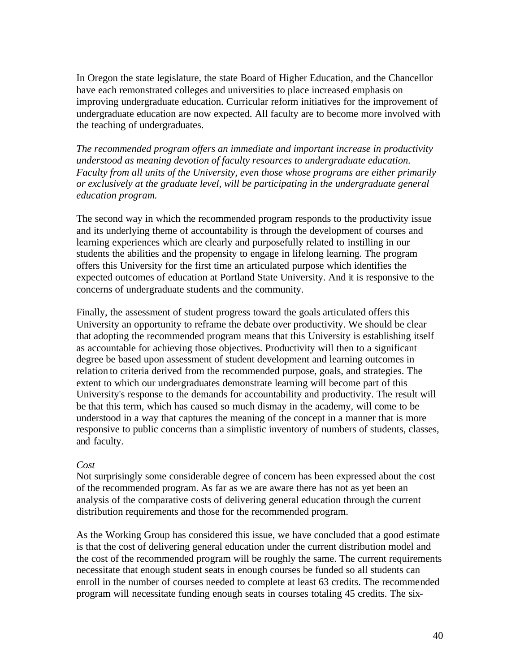In Oregon the state legislature, the state Board of Higher Education, and the Chancellor have each remonstrated colleges and universities to place increased emphasis on improving undergraduate education. Curricular reform initiatives for the improvement of undergraduate education are now expected. All faculty are to become more involved with the teaching of undergraduates.

*The recommended program offers an immediate and important increase in productivity understood as meaning devotion of faculty resources to undergraduate education. Faculty from all units of the University, even those whose programs are either primarily or exclusively at the graduate level, will be participating in the undergraduate general education program.* 

The second way in which the recommended program responds to the productivity issue and its underlying theme of accountability is through the development of courses and learning experiences which are clearly and purposefully related to instilling in our students the abilities and the propensity to engage in lifelong learning. The program offers this University for the first time an articulated purpose which identifies the expected outcomes of education at Portland State University. And it is responsive to the concerns of undergraduate students and the community.

Finally, the assessment of student progress toward the goals articulated offers this University an opportunity to reframe the debate over productivity. We should be clear that adopting the recommended program means that this University is establishing itself as accountable for achieving those objectives. Productivity will then to a significant degree be based upon assessment of student development and learning outcomes in relation to criteria derived from the recommended purpose, goals, and strategies. The extent to which our undergraduates demonstrate learning will become part of this University's response to the demands for accountability and productivity. The result will be that this term, which has caused so much dismay in the academy, will come to be understood in a way that captures the meaning of the concept in a manner that is more responsive to public concerns than a simplistic inventory of numbers of students, classes, and faculty.

## *Cost*

Not surprisingly some considerable degree of concern has been expressed about the cost of the recommended program. As far as we are aware there has not as yet been an analysis of the comparative costs of delivering general education through the current distribution requirements and those for the recommended program.

As the Working Group has considered this issue, we have concluded that a good estimate is that the cost of delivering general education under the current distribution model and the cost of the recommended program will be roughly the same. The current requirements necessitate that enough student seats in enough courses be funded so all students can enroll in the number of courses needed to complete at least 63 credits. The recommended program will necessitate funding enough seats in courses totaling 45 credits. The six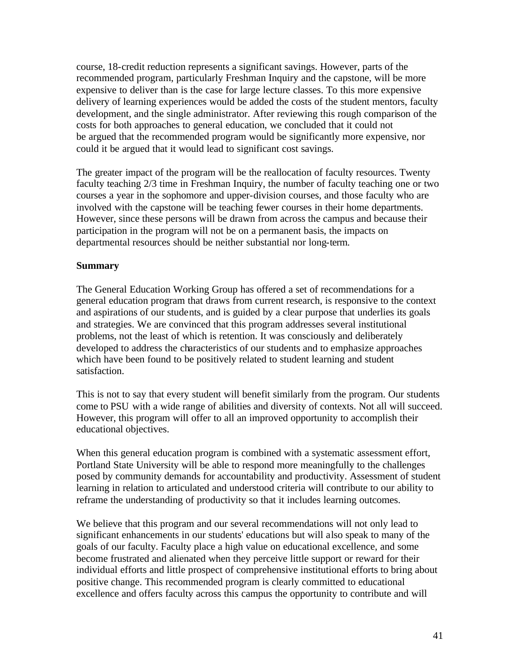course, 18-credit reduction represents a significant savings. However, parts of the recommended program, particularly Freshman Inquiry and the capstone, will be more expensive to deliver than is the case for large lecture classes. To this more expensive delivery of learning experiences would be added the costs of the student mentors, faculty development, and the single administrator. After reviewing this rough comparison of the costs for both approaches to general education, we concluded that it could not be argued that the recommended program would be significantly more expensive, nor could it be argued that it would lead to significant cost savings.

The greater impact of the program will be the reallocation of faculty resources. Twenty faculty teaching 2/3 time in Freshman Inquiry, the number of faculty teaching one or two courses a year in the sophomore and upper-division courses, and those faculty who are involved with the capstone will be teaching fewer courses in their home departments. However, since these persons will be drawn from across the campus and because their participation in the program will not be on a permanent basis, the impacts on departmental resources should be neither substantial nor long-term.

## **Summary**

The General Education Working Group has offered a set of recommendations for a general education program that draws from current research, is responsive to the context and aspirations of our students, and is guided by a clear purpose that underlies its goals and strategies. We are convinced that this program addresses several institutional problems, not the least of which is retention. It was consciously and deliberately developed to address the characteristics of our students and to emphasize approaches which have been found to be positively related to student learning and student satisfaction.

This is not to say that every student will benefit similarly from the program. Our students come to PSU with a wide range of abilities and diversity of contexts. Not all will succeed. However, this program will offer to all an improved opportunity to accomplish their educational objectives.

When this general education program is combined with a systematic assessment effort, Portland State University will be able to respond more meaningfully to the challenges posed by community demands for accountability and productivity. Assessment of student learning in relation to articulated and understood criteria will contribute to our ability to reframe the understanding of productivity so that it includes learning outcomes.

We believe that this program and our several recommendations will not only lead to significant enhancements in our students' educations but will also speak to many of the goals of our faculty. Faculty place a high value on educational excellence, and some become frustrated and alienated when they perceive little support or reward for their individual efforts and little prospect of comprehensive institutional efforts to bring about positive change. This recommended program is clearly committed to educational excellence and offers faculty across this campus the opportunity to contribute and will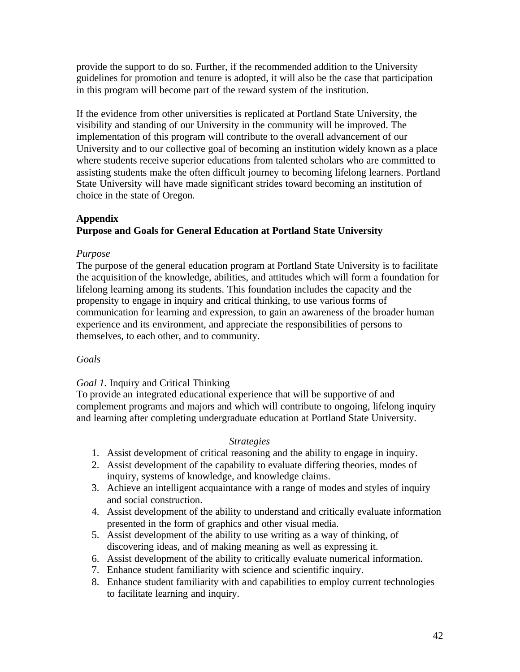provide the support to do so. Further, if the recommended addition to the University guidelines for promotion and tenure is adopted, it will also be the case that participation in this program will become part of the reward system of the institution.

If the evidence from other universities is replicated at Portland State University, the visibility and standing of our University in the community will be improved. The implementation of this program will contribute to the overall advancement of our University and to our collective goal of becoming an institution widely known as a place where students receive superior educations from talented scholars who are committed to assisting students make the often difficult journey to becoming lifelong learners. Portland State University will have made significant strides toward becoming an institution of choice in the state of Oregon.

# **Appendix**

# **Purpose and Goals for General Education at Portland State University**

# *Purpose*

The purpose of the general education program at Portland State University is to facilitate the acquisition of the knowledge, abilities, and attitudes which will form a foundation for lifelong learning among its students. This foundation includes the capacity and the propensity to engage in inquiry and critical thinking, to use various forms of communication for learning and expression, to gain an awareness of the broader human experience and its environment, and appreciate the responsibilities of persons to themselves, to each other, and to community.

# *Goals*

# *Goal 1.* Inquiry and Critical Thinking

To provide an integrated educational experience that will be supportive of and complement programs and majors and which will contribute to ongoing, lifelong inquiry and learning after completing undergraduate education at Portland State University.

# *Strategies*

- 1. Assist development of critical reasoning and the ability to engage in inquiry.
- 2. Assist development of the capability to evaluate differing theories, modes of inquiry, systems of knowledge, and knowledge claims.
- 3. Achieve an intelligent acquaintance with a range of modes and styles of inquiry and social construction.
- 4. Assist development of the ability to understand and critically evaluate information presented in the form of graphics and other visual media.
- 5. Assist development of the ability to use writing as a way of thinking, of discovering ideas, and of making meaning as well as expressing it.
- 6. Assist development of the ability to critically evaluate numerical information.
- 7. Enhance student familiarity with science and scientific inquiry.
- 8. Enhance student familiarity with and capabilities to employ current technologies to facilitate learning and inquiry.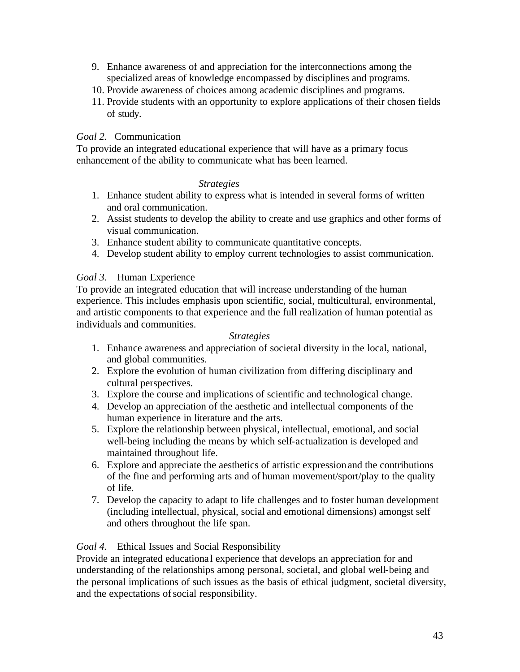- 9. Enhance awareness of and appreciation for the interconnections among the specialized areas of knowledge encompassed by disciplines and programs.
- 10. Provide awareness of choices among academic disciplines and programs.
- 11. Provide students with an opportunity to explore applications of their chosen fields of study.

# *Goal 2.* Communication

To provide an integrated educational experience that will have as a primary focus enhancement of the ability to communicate what has been learned.

#### *Strategies*

- 1. Enhance student ability to express what is intended in several forms of written and oral communication.
- 2. Assist students to develop the ability to create and use graphics and other forms of visual communication.
- 3. Enhance student ability to communicate quantitative concepts.
- 4. Develop student ability to employ current technologies to assist communication.

## *Goal 3.* Human Experience

To provide an integrated education that will increase understanding of the human experience. This includes emphasis upon scientific, social, multicultural, environmental, and artistic components to that experience and the full realization of human potential as individuals and communities.

## *Strategies*

- 1. Enhance awareness and appreciation of societal diversity in the local, national, and global communities.
- 2. Explore the evolution of human civilization from differing disciplinary and cultural perspectives.
- 3. Explore the course and implications of scientific and technological change.
- 4. Develop an appreciation of the aesthetic and intellectual components of the human experience in literature and the arts.
- 5. Explore the relationship between physical, intellectual, emotional, and social well-being including the means by which self-actualization is developed and maintained throughout life.
- 6. Explore and appreciate the aesthetics of artistic expression and the contributions of the fine and performing arts and of human movement/sport/play to the quality of life.
- 7. Develop the capacity to adapt to life challenges and to foster human development (including intellectual, physical, social and emotional dimensions) amongst self and others throughout the life span.

## *Goal 4.* Ethical Issues and Social Responsibility

Provide an integrated educational experience that develops an appreciation for and understanding of the relationships among personal, societal, and global well-being and the personal implications of such issues as the basis of ethical judgment, societal diversity, and the expectations of social responsibility.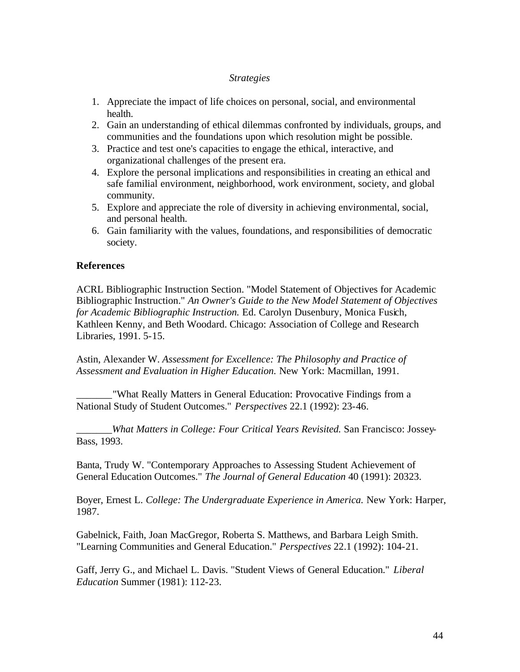## *Strategies*

- 1. Appreciate the impact of life choices on personal, social, and environmental health.
- 2. Gain an understanding of ethical dilemmas confronted by individuals, groups, and communities and the foundations upon which resolution might be possible.
- 3. Practice and test one's capacities to engage the ethical, interactive, and organizational challenges of the present era.
- 4. Explore the personal implications and responsibilities in creating an ethical and safe familial environment, neighborhood, work environment, society, and global community.
- 5. Explore and appreciate the role of diversity in achieving environmental, social, and personal health.
- 6. Gain familiarity with the values, foundations, and responsibilities of democratic society.

# **References**

ACRL Bibliographic Instruction Section. "Model Statement of Objectives for Academic Bibliographic Instruction." *An Owner's Guide to the New Model Statement of Objectives for Academic Bibliographic Instruction.* Ed. Carolyn Dusenbury, Monica Fusich, Kathleen Kenny, and Beth Woodard. Chicago: Association of College and Research Libraries, 1991. 5-15.

Astin, Alexander W. *Assessment for Excellence: The Philosophy and Practice of Assessment and Evaluation in Higher Education.* New York: Macmillan, 1991.

\_\_\_\_\_\_\_"What Really Matters in General Education: Provocative Findings from a National Study of Student Outcomes." *Perspectives* 22.1 (1992): 23-46.

\_\_\_\_\_\_\_*What Matters in College: Four Critical Years Revisited.* San Francisco: Jossey-Bass, 1993.

Banta, Trudy W. "Contemporary Approaches to Assessing Student Achievement of General Education Outcomes." *The Journal of General Education* 40 (1991): 20323.

Boyer, Ernest L. *College: The Undergraduate Experience in America.* New York: Harper, 1987.

Gabelnick, Faith, Joan MacGregor, Roberta S. Matthews, and Barbara Leigh Smith. "Learning Communities and General Education." *Perspectives* 22.1 (1992): 104-21.

Gaff, Jerry G., and Michael L. Davis. "Student Views of General Education." *Liberal Education* Summer (1981): 112-23.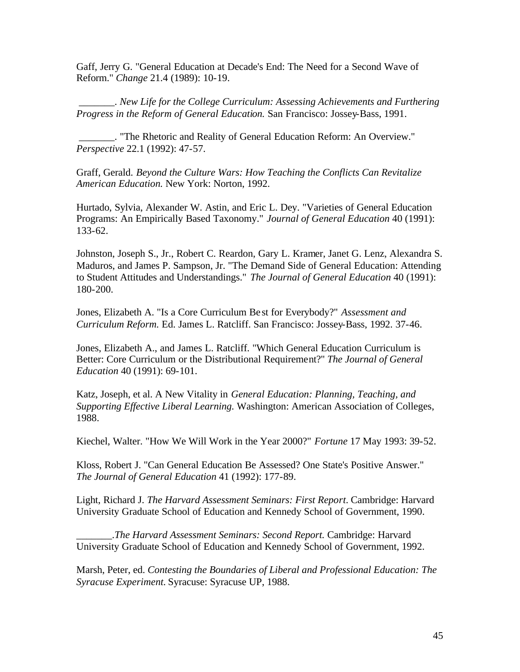Gaff, Jerry G. "General Education at Decade's End: The Need for a Second Wave of Reform." *Change* 21.4 (1989): 10-19.

 \_\_\_\_\_\_\_. *New Life for the College Curriculum: Assessing Achievements and Furthering Progress in the Reform of General Education.* San Francisco: Jossey-Bass, 1991.

 \_\_\_\_\_\_\_. "The Rhetoric and Reality of General Education Reform: An Overview." *Perspective* 22.1 (1992): 47-57.

Graff, Gerald. *Beyond the Culture Wars: How Teaching the Conflicts Can Revitalize American Education.* New York: Norton, 1992.

Hurtado, Sylvia, Alexander W. Astin, and Eric L. Dey. "Varieties of General Education Programs: An Empirically Based Taxonomy." *Journal of General Education* 40 (1991): 133-62.

Johnston, Joseph S., Jr., Robert C. Reardon, Gary L. Kramer, Janet G. Lenz, Alexandra S. Maduros, and James P. Sampson, Jr. "The Demand Side of General Education: Attending to Student Attitudes and Understandings." *The Journal of General Education* 40 (1991): 180-200.

Jones, Elizabeth A. "Is a Core Curriculum Be st for Everybody?" *Assessment and Curriculum Reform.* Ed. James L. Ratcliff. San Francisco: Jossey-Bass, 1992. 37-46.

Jones, Elizabeth A., and James L. Ratcliff. "Which General Education Curriculum is Better: Core Curriculum or the Distributional Requirement?" *The Journal of General Education* 40 (1991): 69-101.

Katz, Joseph, et al. A New Vitality in *General Education: Planning, Teaching, and Supporting Effective Liberal Learning.* Washington: American Association of Colleges, 1988.

Kiechel, Walter. "How We Will Work in the Year 2000?" *Fortune* 17 May 1993: 39-52.

Kloss, Robert J. "Can General Education Be Assessed? One State's Positive Answer." *The Journal of General Education* 41 (1992): 177-89.

Light, Richard J. *The Harvard Assessment Seminars: First Report.* Cambridge: Harvard University Graduate School of Education and Kennedy School of Government, 1990.

\_\_\_\_\_\_\_.*The Harvard Assessment Seminars: Second Report.* Cambridge: Harvard University Graduate School of Education and Kennedy School of Government, 1992.

Marsh, Peter, ed. *Contesting the Boundaries of Liberal and Professional Education: The Syracuse Experiment.* Syracuse: Syracuse UP, 1988.